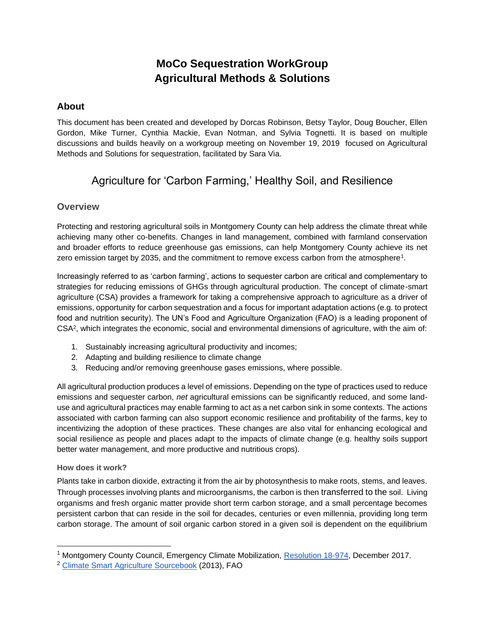# **MoCo Sequestration WorkGroup Agricultural Methods & Solutions**

## **About**

This document has been created and developed by Dorcas Robinson, Betsy Taylor, Doug Boucher, Ellen Gordon, Mike Turner, Cynthia Mackie, Evan Notman, and Sylvia Tognetti. It is based on multiple discussions and builds heavily on a workgroup meeting on November 19, 2019 focused on Agricultural Methods and Solutions for sequestration, facilitated by Sara Via.

## Agriculture for 'Carbon Farming,' Healthy Soil, and Resilience

## **Overview**

Protecting and restoring agricultural soils in Montgomery County can help address the climate threat while achieving many other co-benefits. Changes in land management, combined with farmland conservation and broader efforts to reduce greenhouse gas emissions, can help Montgomery County achieve its net zero emission target by 2035, and the commitment to remove excess carbon from the atmosphere<sup>1</sup>.

Increasingly referred to as 'carbon farming', actions to sequester carbon are critical and complementary to strategies for reducing emissions of GHGs through agricultural production. The concept of climate-smart agriculture (CSA) provides a framework for taking a comprehensive approach to agriculture as a driver of emissions, opportunity for carbon sequestration and a focus for important adaptation actions (e.g. to protect food and nutrition security). The UN's Food and Agriculture Organization (FAO) is a leading proponent of CSA<sup>2</sup> , which integrates the economic, social and environmental dimensions of agriculture, with the aim of:

- 1. Sustainably increasing agricultural productivity and incomes;
- 2. Adapting and building resilience to climate change
- 3. Reducing and/or removing greenhouse gases emissions, where possible.

All agricultural production produces a level of emissions. Depending on the type of practices used to reduce emissions and sequester carbon, *net* agricultural emissions can be significantly reduced, and some landuse and agricultural practices may enable farming to act as a net carbon sink in some contexts. The actions associated with carbon farming can also support economic resilience and profitability of the farms, key to incentivizing the adoption of these practices. These changes are also vital for enhancing ecological and social resilience as people and places adapt to the impacts of climate change (e.g. healthy soils support better water management, and more productive and nutritious crops).

### **How does it work?**

Plants take in carbon dioxide, extracting it from the air by photosynthesis to make roots, stems, and leaves. Through processes involving plants and microorganisms, the carbon is then transferred to the soil. Living organisms and fresh organic matter provide short term carbon storage, and a small percentage becomes persistent carbon that can reside in the soil for decades, centuries or even millennia, providing long term carbon storage. The amount of soil organic carbon stored in a given soil is dependent on the equilibrium

<sup>&</sup>lt;sup>1</sup> Montgomery County Council, Emergency Climate Mobilization, [Resolution 18-974,](https://www.montgomerycountymd.gov/COUNCIL/Resources/Files/res/2017/20171205_18-974.pdf) December 2017.

<sup>2</sup> [Climate Smart Agriculture Sourcebook](http://www.fao.org/3/a-i3325e.pdf) (2013), FAO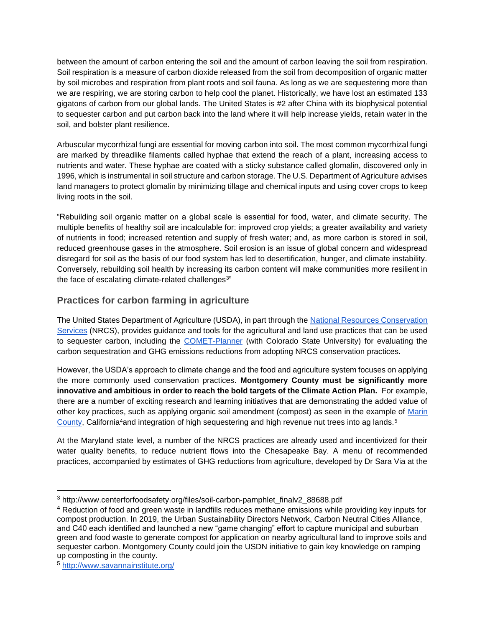between the amount of carbon entering the soil and the amount of carbon leaving the soil from respiration. Soil respiration is a measure of carbon dioxide released from the soil from decomposition of organic matter by soil microbes and respiration from plant roots and soil fauna. As long as we are sequestering more than we are respiring, we are storing carbon to help cool the planet. Historically, we have lost an estimated 133 gigatons of carbon from our global lands. The United States is #2 after China with its biophysical potential to sequester carbon and put carbon back into the land where it will help increase yields, retain water in the soil, and bolster plant resilience.

Arbuscular mycorrhizal fungi are essential for moving carbon into soil. The most common mycorrhizal fungi are marked by threadlike filaments called hyphae that extend the reach of a plant, increasing access to nutrients and water. These hyphae are coated with a sticky substance called glomalin, discovered only in 1996, which is instrumental in soil structure and carbon storage. The U.S. Department of Agriculture advises land managers to [protect glomalin](http://www.ars.usda.gov/is/ar/archive/sep02/soil0902.htm) by minimizing tillage and chemical inputs and using cover crops to keep living roots in the soil.

"Rebuilding soil organic matter on a global scale is essential for food, water, and climate security. The multiple benefits of healthy soil are incalculable for: improved crop yields; a greater availability and variety of nutrients in food; increased retention and supply of fresh water; and, as more carbon is stored in soil, reduced greenhouse gases in the atmosphere. Soil erosion is an issue of global concern and widespread disregard for soil as the basis of our food system has led to desertification, hunger, and climate instability. Conversely, rebuilding soil health by increasing its carbon content will make communities more resilient in the face of escalating climate-related challenges $3"$ 

## **Practices for carbon farming in agriculture**

The United States Department of Agriculture (USDA), in part through the [National Resources Conservation](https://www.nrcs.usda.gov/wps/portal/nrcs/main/national/climatechange/)  [Services](https://www.nrcs.usda.gov/wps/portal/nrcs/main/national/climatechange/) (NRCS), provides guidance and tools for the agricultural and land use practices that can be used to sequester carbon, including the [COMET-Planner](http://comet-planner.com/) (with Colorado State University) for evaluating the carbon sequestration and GHG emissions reductions from adopting NRCS conservation practices.

However, the USDA's approach to climate change and the food and agriculture system focuses on applying the more commonly used conservation practices. **Montgomery County must be significantly more innovative and ambitious in order to reach the bold targets of the Climate Action Plan.** For example, there are a number of exciting research and learning initiatives that are demonstrating the added value of other key practices, such as applying organic soil amendment (compost) as seen in the example of [Marin](https://www.marincarbonproject.org/)  [County,](https://www.marincarbonproject.org/) California<sup>4</sup>and integration of high sequestering and high revenue nut trees into ag lands.<sup>5</sup>

At the Maryland state level, a number of the NRCS practices are already used and incentivized for their water quality benefits, to reduce nutrient flows into the Chesapeake Bay. A menu of recommended practices, accompanied by estimates of GHG reductions from agriculture, developed by Dr Sara Via at the

<sup>3</sup> http://www.centerforfoodsafety.org/files/soil-carbon-pamphlet\_finalv2\_88688.pdf

<sup>&</sup>lt;sup>4</sup> Reduction of food and green waste in landfills reduces methane emissions while providing key inputs for compost production. In 2019, the Urban Sustainability Directors Network, Carbon Neutral Cities Alliance, and C40 each identified and launched a new "game changing" effort to capture municipal and suburban green and food waste to generate compost for application on nearby agricultural land to improve soils and sequester carbon. Montgomery County could join the USDN initiative to gain key knowledge on ramping up composting in the county.

<sup>5</sup> <http://www.savannainstitute.org/>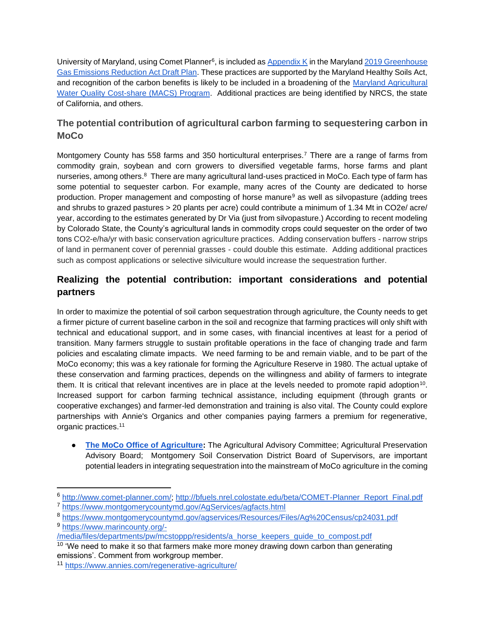University of Maryland, using Comet Planner<sup>6</sup>, is included as [Appendix K](https://mde.maryland.gov/programs/Air/ClimateChange/Documents/2019GGRAPlan/Appendices/Appendix%20K%20-%20MDA%20Recommended%20Practices.pdf) in the Maryland 2019 Greenhouse [Gas Emissions Reduction Act Draft Plan.](https://mde.state.md.us/programs/Air/ClimateChange/MCCC/Commission/2019GGRADraftPlanPresentation10152019.pdf) These practices are supported by the Maryland Healthy Soils Act, and recognition of the carbon benefits is likely to be included in a broadening of the [Maryland Agricultural](https://mda.maryland.gov/resource_conservation/Pages/macs.aspx)  [Water Quality Cost-share \(MACS\) Program.](https://mda.maryland.gov/resource_conservation/Pages/macs.aspx) Additional practices are being identified by NRCS, the state of California, and others.

## **The potential contribution of agricultural carbon farming to sequestering carbon in MoCo**

Montgomery County has 558 farms and 350 horticultural enterprises.<sup>7</sup> There are a range of farms from commodity grain, soybean and corn growers to diversified vegetable farms, horse farms and plant nurseries, among others.<sup>8</sup> There are many agricultural land-uses practiced in MoCo. Each type of farm has some potential to sequester carbon. For example, many acres of the County are dedicated to horse production. Proper management and composting of horse manure<sup>9</sup> as well as silvopasture (adding trees and shrubs to grazed pastures > 20 plants per acre) could contribute a minimum of 1.34 Mt in CO2e/ acre/ year, according to the estimates generated by Dr Via (just from silvopasture.) According to recent modeling by Colorado State, the County's agricultural lands in commodity crops could sequester on the order of two tons CO2-e/ha/yr with basic conservation agriculture practices. Adding conservation buffers - narrow strips of land in permanent cover of perennial grasses - could double this estimate. Adding additional practices such as compost applications or selective silviculture would increase the sequestration further.

## **Realizing the potential contribution: important considerations and potential partners**

In order to maximize the potential of soil carbon sequestration through agriculture, the County needs to get a firmer picture of current baseline carbon in the soil and recognize that farming practices will only shift with technical and educational support, and in some cases, with financial incentives at least for a period of transition. Many farmers struggle to sustain profitable operations in the face of changing trade and farm policies and escalating climate impacts. We need farming to be and remain viable, and to be part of the MoCo economy; this was a key rationale for forming the Agriculture Reserve in 1980. The actual uptake of these conservation and farming practices, depends on the willingness and ability of farmers to integrate them. It is critical that relevant incentives are in place at the levels needed to promote rapid adoption<sup>10</sup>. Increased support for carbon farming technical assistance, including equipment (through grants or cooperative exchanges) and farmer-led demonstration and training is also vital. The County could explore partnerships with Annie's Organics and other companies paying farmers a premium for regenerative, organic practices.<sup>11</sup>

● **[The MoCo Office of](https://montgomerycountymd.gov/AgServices/agboardscommittee.html) Agriculture:** The Agricultural Advisory Committee; Agricultural Preservation Advisory Board; Montgomery Soil Conservation District Board of Supervisors, are important potential leaders in integrating sequestration into the mainstream of MoCo agriculture in the coming

<sup>6</sup> [http://www.comet-planner.com/;](http://www.comet-planner.com/) [http://bfuels.nrel.colostate.edu/beta/COMET-Planner\\_Report\\_Final.pdf](http://bfuels.nrel.colostate.edu/beta/COMET-Planner_Report_Final.pdf)

<sup>7</sup> <https://www.montgomerycountymd.gov/AgServices/agfacts.html>

<sup>8</sup> <https://www.montgomerycountymd.gov/agservices/Resources/Files/Ag%20Census/cp24031.pdf> <sup>9</sup> [https://www.marincounty.org/-](https://www.marincounty.org/-/media/files/departments/pw/mcstoppp/residents/a_horse_keepers_guide_to_compost.pdf)

[<sup>/</sup>media/files/departments/pw/mcstoppp/residents/a\\_horse\\_keepers\\_guide\\_to\\_compost.pdf](https://www.marincounty.org/-/media/files/departments/pw/mcstoppp/residents/a_horse_keepers_guide_to_compost.pdf)

 $\frac{10}{10}$  'We need to make it so that farmers make more money drawing down carbon than generating emissions'. Comment from workgroup member.

<sup>11</sup> <https://www.annies.com/regenerative-agriculture/>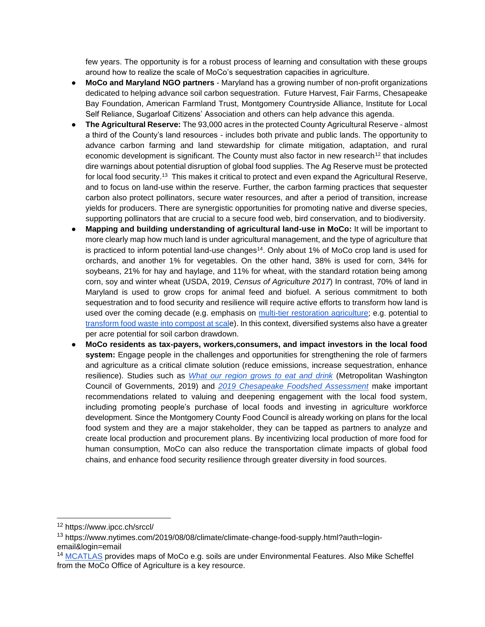few years. The opportunity is for a robust process of learning and consultation with these groups around how to realize the scale of MoCo's sequestration capacities in agriculture.

- **MoCo and Maryland NGO partners**  Maryland has a growing number of non-profit organizations dedicated to helping advance soil carbon sequestration. Future Harvest, Fair Farms, Chesapeake Bay Foundation, American Farmland Trust, Montgomery Countryside Alliance, Institute for Local Self Reliance, Sugarloaf Citizens' Association and others can help advance this agenda.
- **The Agricultural Reserve:** The 93,000 acres in the protected County Agricultural Reserve almost a third of the County's land resources - includes both private and public lands. The opportunity to advance carbon farming and land stewardship for climate mitigation, adaptation, and rural economic development is significant. The County must also factor in new research<sup>12</sup> that includes dire warnings about potential disruption of global food supplies. The Ag Reserve must be protected for local food security.<sup>13</sup> This makes it critical to protect and even expand the Agricultural Reserve, and to focus on land-use within the reserve. Further, the carbon farming practices that sequester carbon also protect pollinators, secure water resources, and after a period of transition, increase yields for producers. There are synergistic opportunities for promoting native and diverse species, supporting pollinators that are crucial to a secure food web, bird conservation, and to biodiversity.
- **Mapping and building understanding of agricultural land-use in MoCo:** It will be important to more clearly map how much land is under agricultural management, and the type of agriculture that is practiced to inform potential land-use changes<sup>14</sup>. Only about 1% of MoCo crop land is used for orchards, and another 1% for vegetables. On the other hand, 38% is used for corn, 34% for soybeans, 21% for hay and haylage, and 11% for wheat, with the standard rotation being among corn, soy and winter wheat (USDA, 2019, *Census of Agriculture 2017*) In contrast, 70% of land in Maryland is used to grow crops for animal feed and biofuel. A serious commitment to both sequestration and to food security and resilience will require active efforts to transform how land is used over the coming decade (e.g. emphasis on [multi-tier restoration agriculture;](https://www.forestag.com/pages/mark-shepard) e.g. potential to [transform food waste into compost at scale](https://ilsr.org/composting/)). In this context, diversified systems also have a greater per acre potential for soil carbon drawdown.
- **MoCo residents as tax-payers, workers,consumers, and impact investors in the local food system:** Engage people in the challenges and opportunities for strengthening the role of farmers and agriculture as a critical climate solution (reduce emissions, increase sequestration, enhance resilience). Studies such as *[What our region grows to eat and drink](https://www.montgomerycountymd.gov/agservices/Resources/Files/publications/WORG_2018_FINAL_for_Web.pdf)* (Metropolitan Washington Council of Governments, 2019) and *[2019 Chesapeake Foodshed Assessment](https://agnr.umd.edu/sites/agnr.umd.edu/files/files/documents/Hughes%20Center/2019__Chesapeake-Foodshed-Assessment_02.pdf)* make important recommendations related to valuing and deepening engagement with the local food system, including promoting people's purchase of local foods and investing in agriculture workforce development. Since the Montgomery County Food Council is already working on plans for the local food system and they are a major stakeholder, they can be tapped as partners to analyze and create local production and procurement plans. By incentivizing local production of more food for human consumption, MoCo can also reduce the transportation climate impacts of global food chains, and enhance food security resilience through greater diversity in food sources.

<sup>12</sup> <https://www.ipcc.ch/srccl/>

<sup>&</sup>lt;sup>13</sup> [https://www.nytimes.com/2019/08/08/climate/climate-change-food-supply.html?auth=login](https://www.nytimes.com/2019/08/08/climate/climate-change-food-supply.html?auth=login-email&login=email)[email&login=email](https://www.nytimes.com/2019/08/08/climate/climate-change-food-supply.html?auth=login-email&login=email)

<sup>&</sup>lt;sup>14</sup> [MCATLAS](https://mcatlas.org/viewer/) provides maps of MoCo e.g. soils are under Environmental Features. Also Mike Scheffel from the MoCo Office of Agriculture is a key resource.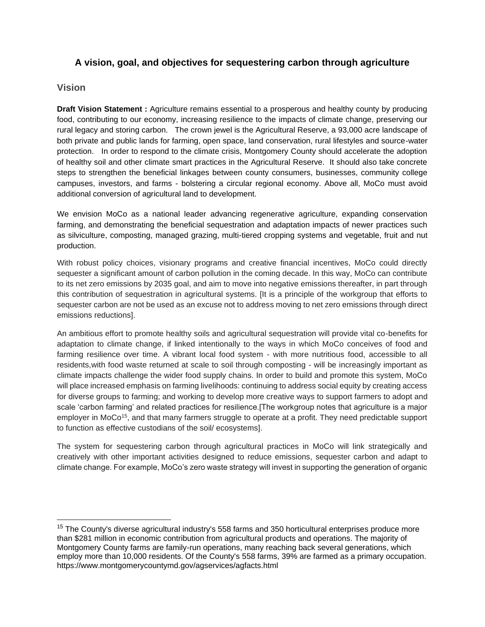## **A vision, goal, and objectives for sequestering carbon through agriculture**

### **Vision**

**Draft Vision Statement :** Agriculture remains essential to a prosperous and healthy county by producing food, contributing to our economy, increasing resilience to the impacts of climate change, preserving our rural legacy and storing carbon. The crown jewel is the Agricultural Reserve, a 93,000 acre landscape of both private and public lands for farming, open space, land conservation, rural lifestyles and source-water protection. In order to respond to the climate crisis, Montgomery County should accelerate the adoption of healthy soil and other climate smart practices in the Agricultural Reserve. It should also take concrete steps to strengthen the beneficial linkages between county consumers, businesses, community college campuses, investors, and farms - bolstering a circular regional economy. Above all, MoCo must avoid additional conversion of agricultural land to development.

We envision MoCo as a national leader advancing regenerative agriculture, expanding conservation farming, and demonstrating the beneficial sequestration and adaptation impacts of newer practices such as silviculture, composting, managed grazing, multi-tiered cropping systems and vegetable, fruit and nut production.

With robust policy choices, visionary programs and creative financial incentives, MoCo could directly sequester a significant amount of carbon pollution in the coming decade. In this way, MoCo can contribute to its net zero emissions by 2035 goal, and aim to move into negative emissions thereafter, in part through this contribution of sequestration in agricultural systems. [It is a principle of the workgroup that efforts to sequester carbon are not be used as an excuse not to address moving to net zero emissions through direct emissions reductions].

An ambitious effort to promote healthy soils and agricultural sequestration will provide vital co-benefits for adaptation to climate change, if linked intentionally to the ways in which MoCo conceives of food and farming resilience over time. A vibrant local food system - with more nutritious food, accessible to all residents,with food waste returned at scale to soil through composting - will be increasingly important as climate impacts challenge the wider food supply chains. In order to build and promote this system, MoCo will place increased emphasis on farming livelihoods: continuing to address social equity by creating access for diverse groups to farming; and working to develop more creative ways to support farmers to adopt and scale 'carbon farming' and related practices for resilience.[The workgroup notes that agriculture is a major employer in MoCo<sup>15</sup>, and that many farmers struggle to operate at a profit. They need predictable support to function as effective custodians of the soil/ ecosystems].

The system for sequestering carbon through agricultural practices in MoCo will link strategically and creatively with other important activities designed to reduce emissions, sequester carbon and adapt to climate change. For example, MoCo's zero waste strategy will invest in supporting the generation of organic

<sup>&</sup>lt;sup>15</sup> The County's diverse agricultural industry's 558 farms and 350 horticultural enterprises produce more than \$281 million in economic contribution from agricultural products and operations. The majority of Montgomery County farms are family-run operations, many reaching back several generations, which employ more than 10,000 residents. Of the County's 558 farms, 39% are farmed as a primary occupation. <https://www.montgomerycountymd.gov/agservices/agfacts.html>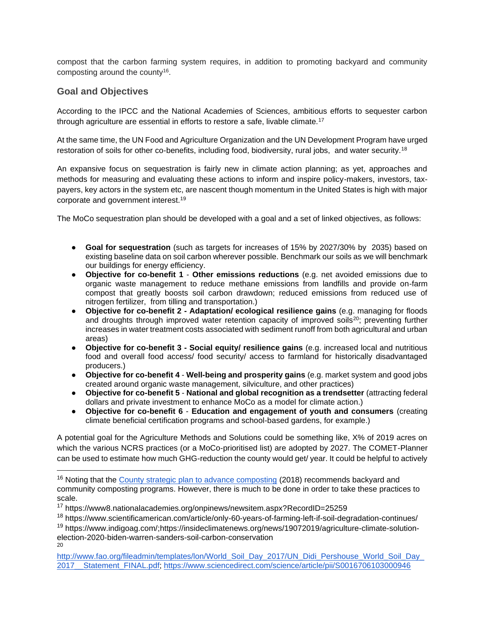compost that the carbon farming system requires, in addition to promoting backyard and community composting around the county<sup>16</sup>.

## **Goal and Objectives**

According to the IPCC and the National Academies of Sciences, ambitious efforts to sequester carbon through agriculture are essential in efforts to restore a safe, livable climate.<sup>17</sup>

At the same time, the UN Food and Agriculture Organization and the UN Development Program have urged restoration of soils for other co-benefits, including food, biodiversity, rural jobs, and water security.<sup>18</sup>

An expansive focus on sequestration is fairly new in climate action planning; as yet, approaches and methods for measuring and evaluating these actions to inform and inspire policy-makers, investors, taxpayers, key actors in the system etc, are nascent though momentum in the United States is high with major corporate and government interest.<sup>19</sup>

The MoCo sequestration plan should be developed with a goal and a set of linked objectives, as follows:

- **Goal for sequestration** (such as targets for increases of 15% by 2027/30% by 2035) based on existing baseline data on soil carbon wherever possible. Benchmark our soils as we will benchmark our buildings for energy efficiency.
- **Objective for co-benefit 1 Other emissions reductions** (e.g. net avoided emissions due to organic waste management to reduce methane emissions from landfills and provide on-farm compost that greatly boosts soil carbon drawdown; reduced emissions from reduced use of nitrogen fertilizer, from tilling and transportation.)
- **Objective for co-benefit 2 - Adaptation/ ecological resilience gains** (e.g. managing for floods and droughts through improved water retention capacity of improved soils<sup>20</sup>; preventing further increases in water treatment costs associated with sediment runoff from both agricultural and urban areas)
- **Objective for co-benefit 3 - Social equity/ resilience gains** (e.g. increased local and nutritious food and overall food access/ food security/ access to farmland for historically disadvantaged producers.)
- **Objective for co-benefit 4 Well-being and prosperity gains** (e.g. market system and good jobs created around organic waste management, silviculture, and other practices)
- **Objective for co-benefit 5 National and global recognition as a trendsetter** (attracting federal dollars and private investment to enhance MoCo as a model for climate action.)
- **Objective for co-benefit 6 Education and engagement of youth and consumers** (creating climate beneficial certification programs and school-based gardens, for example.)

A potential goal for the Agriculture Methods and Solutions could be something like, X% of 2019 acres on which the various NCRS practices (or a MoCo-prioritised list) are adopted by 2027. The COMET-Planner can be used to estimate how much GHG-reduction the county would get/ year. It could be helpful to actively

<sup>&</sup>lt;sup>16</sup> Noting that the [County strategic plan to advance composting](https://www.montgomerycountymd.gov/SWS/Resources/Files/foodwaste/Strategic%20Plan%20to%20Advance%20Composting,%20Compost%20Use,%20and%20Food%20Scraps%20Diversion%20in%20Montgomery%20County,%20MD.pdf) (2018) recommends backyard and community composting programs. However, there is much to be done in order to take these practices to scale.

<sup>17</sup> <https://www8.nationalacademies.org/onpinews/newsitem.aspx?RecordID=25259>

<sup>18</sup> <https://www.scientificamerican.com/article/only-60-years-of-farming-left-if-soil-degradation-continues/>

<sup>19</sup> [https://www.indigoag.com/;](https://www.indigoag.com/)[https://insideclimatenews.org/news/19072019/agriculture-climate-solution](https://insideclimatenews.org/news/19072019/agriculture-climate-solution-election-2020-biden-warren-sanders-soil-carbon-conservation)[election-2020-biden-warren-sanders-soil-carbon-conservation](https://insideclimatenews.org/news/19072019/agriculture-climate-solution-election-2020-biden-warren-sanders-soil-carbon-conservation) 20

[http://www.fao.org/fileadmin/templates/lon/World\\_Soil\\_Day\\_2017/UN\\_Didi\\_Pershouse\\_World\\_Soil\\_Day\\_](http://www.fao.org/fileadmin/templates/lon/World_Soil_Day_2017/UN_Didi_Pershouse_World_Soil_Day_2017__Statement_FINAL.pdf) 2017 Statement FINAL.pdf;<https://www.sciencedirect.com/science/article/pii/S0016706103000946>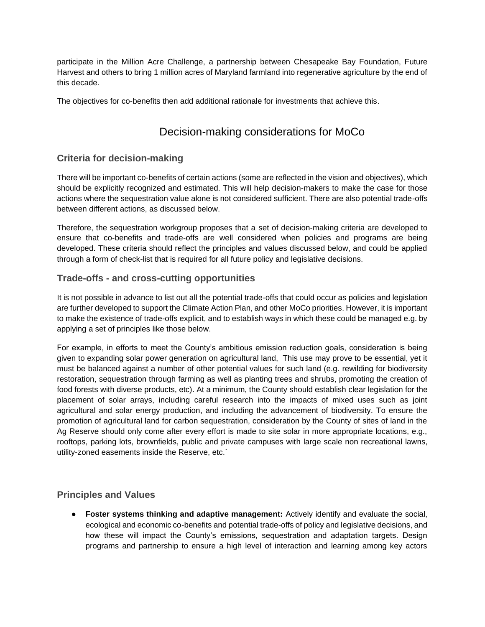participate in the Million Acre Challenge, a partnership between Chesapeake Bay Foundation, Future Harvest and others to bring 1 million acres of Maryland farmland into regenerative agriculture by the end of this decade.

The objectives for co-benefits then add additional rationale for investments that achieve this.

## Decision-making considerations for MoCo

## **Criteria for decision-making**

There will be important co-benefits of certain actions (some are reflected in the vision and objectives), which should be explicitly recognized and estimated. This will help decision-makers to make the case for those actions where the sequestration value alone is not considered sufficient. There are also potential trade-offs between different actions, as discussed below.

Therefore, the sequestration workgroup proposes that a set of decision-making criteria are developed to ensure that co-benefits and trade-offs are well considered when policies and programs are being developed. These criteria should reflect the principles and values discussed below, and could be applied through a form of check-list that is required for all future policy and legislative decisions.

## **Trade-offs - and cross-cutting opportunities**

It is not possible in advance to list out all the potential trade-offs that could occur as policies and legislation are further developed to support the Climate Action Plan, and other MoCo priorities. However, it is important to make the existence of trade-offs explicit, and to establish ways in which these could be managed e.g. by applying a set of principles like those below.

For example, in efforts to meet the County's ambitious emission reduction goals, consideration is being given to expanding solar power generation on agricultural land, This use may prove to be essential, yet it must be balanced against a number of other potential values for such land (e.g. rewilding for biodiversity restoration, sequestration through farming as well as planting trees and shrubs, promoting the creation of food forests with diverse products, etc). At a minimum, the County should establish clear legislation for the placement of solar arrays, including careful research into the impacts of mixed uses such as joint agricultural and solar energy production, and including the advancement of biodiversity. To ensure the promotion of agricultural land for carbon sequestration, consideration by the County of sites of land in the Ag Reserve should only come after every effort is made to site solar in more appropriate locations, e.g., rooftops, parking lots, brownfields, public and private campuses with large scale non recreational lawns, utility-zoned easements inside the Reserve, etc.`

## **Principles and Values**

● **Foster systems thinking and adaptive management:** Actively identify and evaluate the social, ecological and economic co-benefits and potential trade-offs of policy and legislative decisions, and how these will impact the County's emissions, sequestration and adaptation targets. Design programs and partnership to ensure a high level of interaction and learning among key actors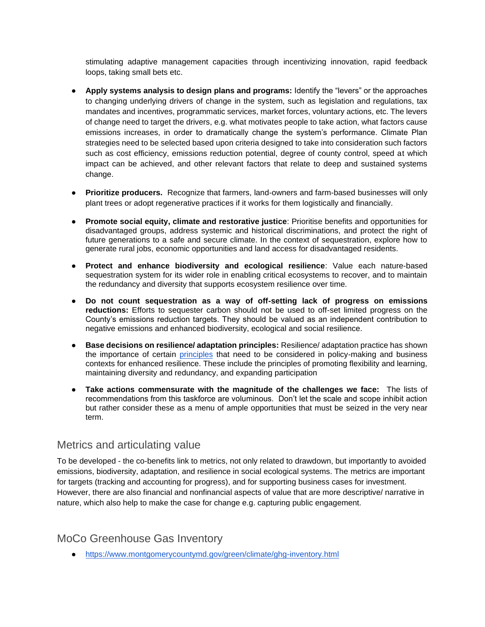stimulating adaptive management capacities through incentivizing innovation, rapid feedback loops, taking small bets etc.

- **Apply systems analysis to design plans and programs:** Identify the "levers" or the approaches to changing underlying drivers of change in the system, such as legislation and regulations, tax mandates and incentives, programmatic services, market forces, voluntary actions, etc. The levers of change need to target the drivers, e.g. what motivates people to take action, what factors cause emissions increases, in order to dramatically change the system's performance. Climate Plan strategies need to be selected based upon criteria designed to take into consideration such factors such as cost efficiency, emissions reduction potential, degree of county control, speed at which impact can be achieved, and other relevant factors that relate to deep and sustained systems change.
- **Prioritize producers.** Recognize that farmers, land-owners and farm-based businesses will only plant trees or adopt regenerative practices if it works for them logistically and financially.
- **Promote social equity, climate and restorative justice**: Prioritise benefits and opportunities for disadvantaged groups, address systemic and historical discriminations, and protect the right of future generations to a safe and secure climate. In the context of sequestration, explore how to generate rural jobs, economic opportunities and land access for disadvantaged residents.
- **Protect and enhance biodiversity and ecological resilience**: Value each nature-based sequestration system for its wider role in enabling critical ecosystems to recover, and to maintain the redundancy and diversity that supports ecosystem resilience over time.
- **Do not count sequestration as a way of off-setting lack of progress on emissions reductions:** Efforts to sequester carbon should not be used to off-set limited progress on the County's emissions reduction targets. They should be valued as an independent contribution to negative emissions and enhanced biodiversity, ecological and social resilience.
- **Base decisions on resilience/ adaptation principles:** Resilience/ adaptation practice has shown the importance of certain [principles](https://www.stockholmresilience.org/research/research-news/2015-04-08-seven-principles-for-building-resilience.html) that need to be considered in policy-making and business contexts for enhanced resilience. These include the principles of promoting flexibility and learning, maintaining diversity and redundancy, and expanding participation
- **Take actions commensurate with the magnitude of the challenges we face:** The lists of recommendations from this taskforce are voluminous. Don't let the scale and scope inhibit action but rather consider these as a menu of ample opportunities that must be seized in the very near term.

## Metrics and articulating value

To be developed - the co-benefits link to metrics, not only related to drawdown, but importantly to avoided emissions, biodiversity, adaptation, and resilience in social ecological systems. The metrics are important for targets (tracking and accounting for progress), and for supporting business cases for investment. However, there are also financial and nonfinancial aspects of value that are more descriptive/ narrative in nature, which also help to make the case for change e.g. capturing public engagement.

## MoCo Greenhouse Gas Inventory

● <https://www.montgomerycountymd.gov/green/climate/ghg-inventory.html>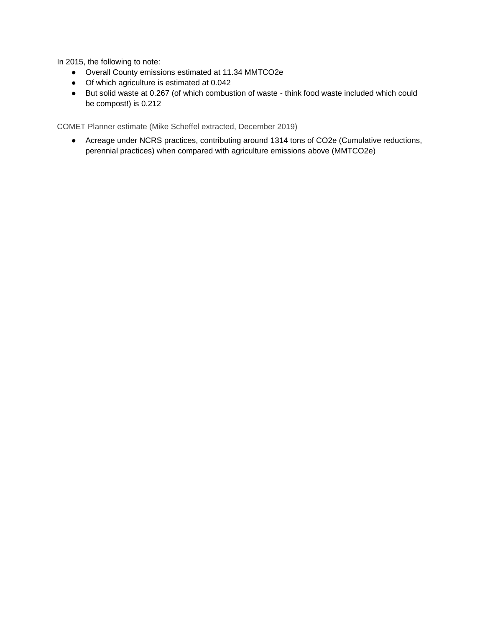In 2015, the following to note:

- Overall County emissions estimated at 11.34 MMTCO2e
- Of which agriculture is estimated at 0.042
- But solid waste at 0.267 (of which combustion of waste think food waste included which could be compost!) is 0.212

COMET Planner estimate (Mike Scheffel extracted, December 2019)

● Acreage under NCRS practices, contributing around 1314 tons of CO2e (Cumulative reductions, perennial practices) when compared with agriculture emissions above (MMTCO2e)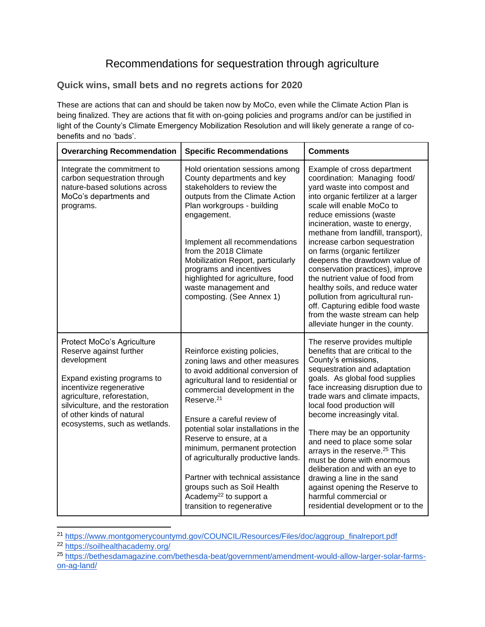# Recommendations for sequestration through agriculture

### **Quick wins, small bets and no regrets actions for 2020**

These are actions that can and should be taken now by MoCo, even while the Climate Action Plan is being finalized. They are actions that fit with on-going policies and programs and/or can be justified in light of the County's Climate Emergency Mobilization Resolution and will likely generate a range of cobenefits and no 'bads'.

| <b>Overarching Recommendation</b>                                                                                                                                                                                                                                 | <b>Specific Recommendations</b>                                                                                                                                                                                                                                                                                                                                                                                                                                                                                       | <b>Comments</b>                                                                                                                                                                                                                                                                                                                                                                                                                                                                                                                                                                                                            |
|-------------------------------------------------------------------------------------------------------------------------------------------------------------------------------------------------------------------------------------------------------------------|-----------------------------------------------------------------------------------------------------------------------------------------------------------------------------------------------------------------------------------------------------------------------------------------------------------------------------------------------------------------------------------------------------------------------------------------------------------------------------------------------------------------------|----------------------------------------------------------------------------------------------------------------------------------------------------------------------------------------------------------------------------------------------------------------------------------------------------------------------------------------------------------------------------------------------------------------------------------------------------------------------------------------------------------------------------------------------------------------------------------------------------------------------------|
| Integrate the commitment to<br>carbon sequestration through<br>nature-based solutions across<br>MoCo's departments and<br>programs.                                                                                                                               | Hold orientation sessions among<br>County departments and key<br>stakeholders to review the<br>outputs from the Climate Action<br>Plan workgroups - building<br>engagement.<br>Implement all recommendations<br>from the 2018 Climate<br>Mobilization Report, particularly<br>programs and incentives<br>highlighted for agriculture, food<br>waste management and<br>composting. (See Annex 1)                                                                                                                       | Example of cross department<br>coordination: Managing food/<br>yard waste into compost and<br>into organic fertilizer at a larger<br>scale will enable MoCo to<br>reduce emissions (waste<br>incineration, waste to energy,<br>methane from landfill, transport),<br>increase carbon sequestration<br>on farms (organic fertilizer<br>deepens the drawdown value of<br>conservation practices), improve<br>the nutrient value of food from<br>healthy soils, and reduce water<br>pollution from agricultural run-<br>off. Capturing edible food waste<br>from the waste stream can help<br>alleviate hunger in the county. |
| Protect MoCo's Agriculture<br>Reserve against further<br>development<br>Expand existing programs to<br>incentivize regenerative<br>agriculture, reforestation,<br>silviculture, and the restoration<br>of other kinds of natural<br>ecosystems, such as wetlands. | Reinforce existing policies,<br>zoning laws and other measures<br>to avoid additional conversion of<br>agricultural land to residential or<br>commercial development in the<br>Reserve. <sup>21</sup><br>Ensure a careful review of<br>potential solar installations in the<br>Reserve to ensure, at a<br>minimum, permanent protection<br>of agriculturally productive lands.<br>Partner with technical assistance<br>groups such as Soil Health<br>Academy <sup>22</sup> to support a<br>transition to regenerative | The reserve provides multiple<br>benefits that are critical to the<br>County's emissions,<br>sequestration and adaptation<br>goals. As global food supplies<br>face increasing disruption due to<br>trade wars and climate impacts,<br>local food production will<br>become increasingly vital.<br>There may be an opportunity<br>and need to place some solar<br>arrays in the reserve. <sup>25</sup> This<br>must be done with enormous<br>deliberation and with an eye to<br>drawing a line in the sand<br>against opening the Reserve to<br>harmful commercial or<br>residential development or to the                 |

<sup>21</sup> [https://www.montgomerycountymd.gov/COUNCIL/Resources/Files/doc/aggroup\\_finalreport.pdf](https://www.montgomerycountymd.gov/COUNCIL/Resources/Files/doc/aggroup_finalreport.pdf)

<sup>22</sup> <https://soilhealthacademy.org/>

<sup>25</sup> [https://bethesdamagazine.com/bethesda-beat/government/amendment-would-allow-larger-solar-farms](https://bethesdamagazine.com/bethesda-beat/government/amendment-would-allow-larger-solar-farms-on-ag-land/)[on-ag-land/](https://bethesdamagazine.com/bethesda-beat/government/amendment-would-allow-larger-solar-farms-on-ag-land/)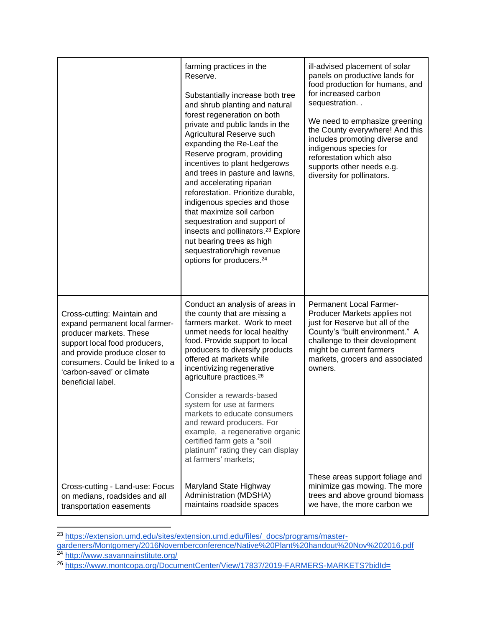|                                                                                                                                                                                                                                                 | farming practices in the<br>Reserve.<br>Substantially increase both tree<br>and shrub planting and natural<br>forest regeneration on both<br>private and public lands in the<br>Agricultural Reserve such<br>expanding the Re-Leaf the<br>Reserve program, providing<br>incentives to plant hedgerows<br>and trees in pasture and lawns,<br>and accelerating riparian<br>reforestation. Prioritize durable,<br>indigenous species and those<br>that maximize soil carbon<br>sequestration and support of<br>insects and pollinators. <sup>23</sup> Explore<br>nut bearing trees as high<br>sequestration/high revenue<br>options for producers. <sup>24</sup> | ill-advised placement of solar<br>panels on productive lands for<br>food production for humans, and<br>for increased carbon<br>sequestration<br>We need to emphasize greening<br>the County everywhere! And this<br>includes promoting diverse and<br>indigenous species for<br>reforestation which also<br>supports other needs e.g.<br>diversity for pollinators. |
|-------------------------------------------------------------------------------------------------------------------------------------------------------------------------------------------------------------------------------------------------|---------------------------------------------------------------------------------------------------------------------------------------------------------------------------------------------------------------------------------------------------------------------------------------------------------------------------------------------------------------------------------------------------------------------------------------------------------------------------------------------------------------------------------------------------------------------------------------------------------------------------------------------------------------|---------------------------------------------------------------------------------------------------------------------------------------------------------------------------------------------------------------------------------------------------------------------------------------------------------------------------------------------------------------------|
| Cross-cutting: Maintain and<br>expand permanent local farmer-<br>producer markets. These<br>support local food producers,<br>and provide produce closer to<br>consumers. Could be linked to a<br>'carbon-saved' or climate<br>beneficial label. | Conduct an analysis of areas in<br>the county that are missing a<br>farmers market. Work to meet<br>unmet needs for local healthy<br>food. Provide support to local<br>producers to diversify products<br>offered at markets while<br>incentivizing regenerative<br>agriculture practices. <sup>26</sup><br>Consider a rewards-based<br>system for use at farmers<br>markets to educate consumers<br>and reward producers. For<br>example, a regenerative organic<br>certified farm gets a "soil<br>platinum" rating they can display<br>at farmers' markets;                                                                                                 | <b>Permanent Local Farmer-</b><br>Producer Markets applies not<br>just for Reserve but all of the<br>County's "built environment." A<br>challenge to their development<br>might be current farmers<br>markets, grocers and associated<br>owners.                                                                                                                    |
| Cross-cutting - Land-use: Focus<br>on medians, roadsides and all<br>transportation easements                                                                                                                                                    | Maryland State Highway<br>Administration (MDSHA)<br>maintains roadside spaces                                                                                                                                                                                                                                                                                                                                                                                                                                                                                                                                                                                 | These areas support foliage and<br>minimize gas mowing. The more<br>trees and above ground biomass<br>we have, the more carbon we                                                                                                                                                                                                                                   |

<sup>&</sup>lt;sup>23</sup> [https://extension.umd.edu/sites/extension.umd.edu/files/\\_docs/programs/master-](https://extension.umd.edu/sites/extension.umd.edu/files/_docs/programs/master-gardeners/Montgomery/2016Novemberconference/Native%20Plant%20handout%20Nov%202016.pdf)

[gardeners/Montgomery/2016Novemberconference/Native%20Plant%20handout%20Nov%202016.pdf](https://extension.umd.edu/sites/extension.umd.edu/files/_docs/programs/master-gardeners/Montgomery/2016Novemberconference/Native%20Plant%20handout%20Nov%202016.pdf) <sup>24</sup> <http://www.savannainstitute.org/>

<sup>26</sup> <https://www.montcopa.org/DocumentCenter/View/17837/2019-FARMERS-MARKETS?bidId=>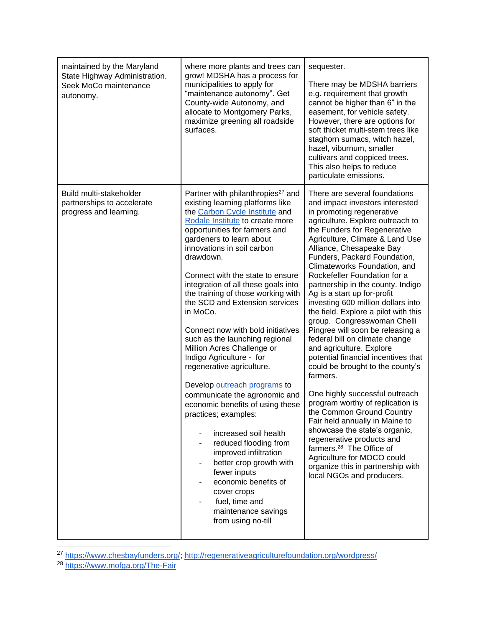| maintained by the Maryland<br>State Highway Administration.<br>Seek MoCo maintenance<br>autonomy. | where more plants and trees can<br>grow! MDSHA has a process for<br>municipalities to apply for<br>"maintenance autonomy". Get<br>County-wide Autonomy, and<br>allocate to Montgomery Parks,<br>maximize greening all roadside<br>surfaces.                                                                                                                                                                                                                                                                                                                                                                                                                                                                                                                                                                                                                                                                                                          | sequester.<br>There may be MDSHA barriers<br>e.g. requirement that growth<br>cannot be higher than 6" in the<br>easement, for vehicle safety.<br>However, there are options for<br>soft thicket multi-stem trees like<br>staghorn sumacs, witch hazel,<br>hazel, viburnum, smaller<br>cultivars and coppiced trees.<br>This also helps to reduce<br>particulate emissions.                                                                                                                                                                                                                                                                                                                                                                                                                                                                                                                                                                                                                                                                            |
|---------------------------------------------------------------------------------------------------|------------------------------------------------------------------------------------------------------------------------------------------------------------------------------------------------------------------------------------------------------------------------------------------------------------------------------------------------------------------------------------------------------------------------------------------------------------------------------------------------------------------------------------------------------------------------------------------------------------------------------------------------------------------------------------------------------------------------------------------------------------------------------------------------------------------------------------------------------------------------------------------------------------------------------------------------------|-------------------------------------------------------------------------------------------------------------------------------------------------------------------------------------------------------------------------------------------------------------------------------------------------------------------------------------------------------------------------------------------------------------------------------------------------------------------------------------------------------------------------------------------------------------------------------------------------------------------------------------------------------------------------------------------------------------------------------------------------------------------------------------------------------------------------------------------------------------------------------------------------------------------------------------------------------------------------------------------------------------------------------------------------------|
| Build multi-stakeholder<br>partnerships to accelerate<br>progress and learning.                   | Partner with philanthropies <sup>27</sup> and<br>existing learning platforms like<br>the Carbon Cycle Institute and<br>Rodale Institute to create more<br>opportunities for farmers and<br>gardeners to learn about<br>innovations in soil carbon<br>drawdown.<br>Connect with the state to ensure<br>integration of all these goals into<br>the training of those working with<br>the SCD and Extension services<br>in MoCo.<br>Connect now with bold initiatives<br>such as the launching regional<br>Million Acres Challenge or<br>Indigo Agriculture - for<br>regenerative agriculture.<br>Develop outreach programs to<br>communicate the agronomic and<br>economic benefits of using these<br>practices; examples:<br>increased soil health<br>reduced flooding from<br>improved infiltration<br>better crop growth with<br>fewer inputs<br>economic benefits of<br>cover crops<br>fuel, time and<br>maintenance savings<br>from using no-till | There are several foundations<br>and impact investors interested<br>in promoting regenerative<br>agriculture. Explore outreach to<br>the Funders for Regenerative<br>Agriculture, Climate & Land Use<br>Alliance, Chesapeake Bay<br>Funders, Packard Foundation,<br>Climateworks Foundation, and<br>Rockefeller Foundation for a<br>partnership in the county. Indigo<br>Ag is a start up for-profit<br>investing 600 million dollars into<br>the field. Explore a pilot with this<br>group. Congresswoman Chelli<br>Pingree will soon be releasing a<br>federal bill on climate change<br>and agriculture. Explore<br>potential financial incentives that<br>could be brought to the county's<br>farmers.<br>One highly successful outreach<br>program worthy of replication is<br>the Common Ground Country<br>Fair held annually in Maine to<br>showcase the state's organic,<br>regenerative products and<br>farmers. <sup>28</sup> The Office of<br>Agriculture for MOCO could<br>organize this in partnership with<br>local NGOs and producers. |

<sup>27</sup> [https://www.chesbayfunders.org/;](https://www.chesbayfunders.org/)<http://regenerativeagriculturefoundation.org/wordpress/>

<sup>28</sup> <https://www.mofga.org/The-Fair>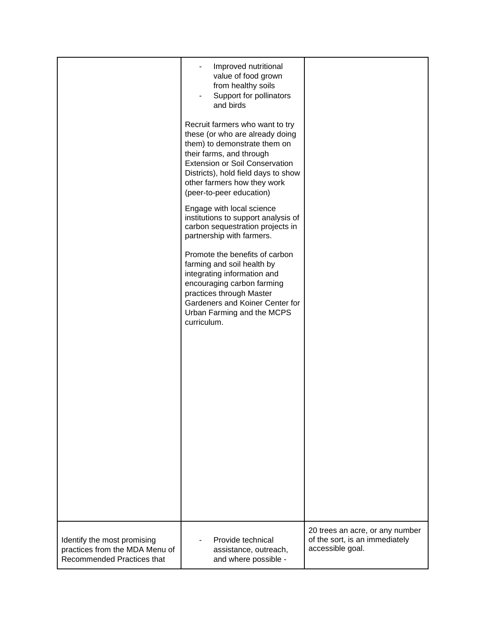|                                | Improved nutritional<br>value of food grown<br>from healthy soils<br>Support for pollinators<br>and birds<br>Recruit farmers who want to try<br>these (or who are already doing<br>them) to demonstrate them on<br>their farms, and through<br><b>Extension or Soil Conservation</b><br>Districts), hold field days to show<br>other farmers how they work<br>(peer-to-peer education)<br>Engage with local science<br>institutions to support analysis of<br>carbon sequestration projects in<br>partnership with farmers.<br>Promote the benefits of carbon<br>farming and soil health by<br>integrating information and<br>encouraging carbon farming<br>practices through Master<br>Gardeners and Koiner Center for<br>Urban Farming and the MCPS<br>curriculum. |                                 |
|--------------------------------|----------------------------------------------------------------------------------------------------------------------------------------------------------------------------------------------------------------------------------------------------------------------------------------------------------------------------------------------------------------------------------------------------------------------------------------------------------------------------------------------------------------------------------------------------------------------------------------------------------------------------------------------------------------------------------------------------------------------------------------------------------------------|---------------------------------|
| Identify the most promising    | Provide technical                                                                                                                                                                                                                                                                                                                                                                                                                                                                                                                                                                                                                                                                                                                                                    | 20 trees an acre, or any number |
| practices from the MDA Menu of | assistance, outreach,                                                                                                                                                                                                                                                                                                                                                                                                                                                                                                                                                                                                                                                                                                                                                | of the sort, is an immediately  |
| Recommended Practices that     | and where possible -                                                                                                                                                                                                                                                                                                                                                                                                                                                                                                                                                                                                                                                                                                                                                 | accessible goal.                |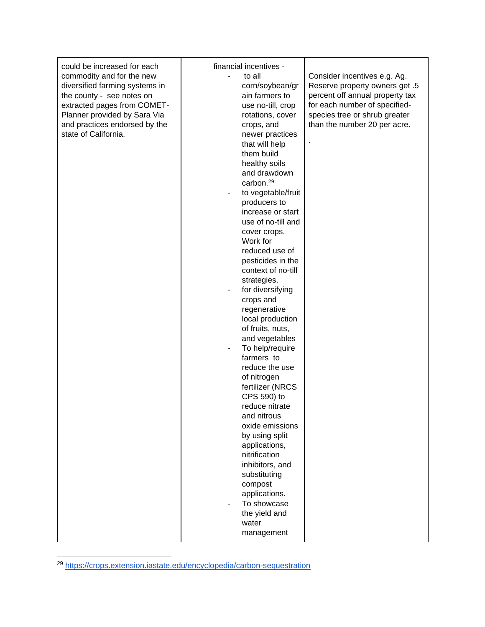| management | could be increased for each<br>commodity and for the new<br>diversified farming systems in<br>the county - see notes on<br>extracted pages from COMET-<br>Planner provided by Sara Via<br>and practices endorsed by the<br>state of California. | financial incentives -<br>to all<br>corn/soybean/gr<br>ain farmers to<br>use no-till, crop<br>rotations, cover<br>crops, and<br>newer practices<br>that will help<br>them build<br>healthy soils<br>and drawdown<br>carbon. <sup>29</sup><br>to vegetable/fruit<br>producers to<br>increase or start<br>use of no-till and<br>cover crops.<br>Work for<br>reduced use of<br>pesticides in the<br>context of no-till<br>strategies.<br>for diversifying<br>crops and<br>regenerative<br>local production<br>of fruits, nuts,<br>and vegetables<br>To help/require<br>farmers to<br>reduce the use<br>of nitrogen<br>fertilizer (NRCS<br>CPS 590) to<br>reduce nitrate<br>and nitrous<br>oxide emissions<br>by using split<br>applications,<br>nitrification<br>inhibitors, and<br>substituting<br>compost<br>applications.<br>To showcase<br>the yield and<br>water | Consider incentives e.g. Ag.<br>5. Reserve property owners get<br>percent off annual property tax<br>for each number of specified-<br>species tree or shrub greater<br>than the number 20 per acre. |
|------------|-------------------------------------------------------------------------------------------------------------------------------------------------------------------------------------------------------------------------------------------------|--------------------------------------------------------------------------------------------------------------------------------------------------------------------------------------------------------------------------------------------------------------------------------------------------------------------------------------------------------------------------------------------------------------------------------------------------------------------------------------------------------------------------------------------------------------------------------------------------------------------------------------------------------------------------------------------------------------------------------------------------------------------------------------------------------------------------------------------------------------------|-----------------------------------------------------------------------------------------------------------------------------------------------------------------------------------------------------|
|------------|-------------------------------------------------------------------------------------------------------------------------------------------------------------------------------------------------------------------------------------------------|--------------------------------------------------------------------------------------------------------------------------------------------------------------------------------------------------------------------------------------------------------------------------------------------------------------------------------------------------------------------------------------------------------------------------------------------------------------------------------------------------------------------------------------------------------------------------------------------------------------------------------------------------------------------------------------------------------------------------------------------------------------------------------------------------------------------------------------------------------------------|-----------------------------------------------------------------------------------------------------------------------------------------------------------------------------------------------------|

<sup>29</sup> <https://crops.extension.iastate.edu/encyclopedia/carbon-sequestration>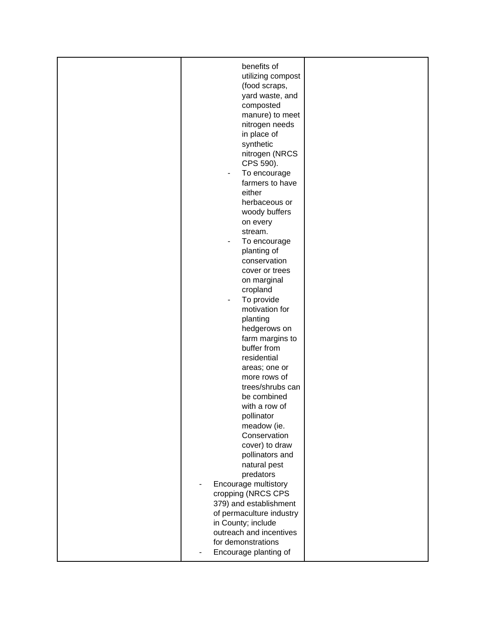| benefits of                              |  |
|------------------------------------------|--|
| utilizing compost                        |  |
| (food scraps,                            |  |
| yard waste, and                          |  |
|                                          |  |
| composted                                |  |
| manure) to meet                          |  |
| nitrogen needs                           |  |
| in place of                              |  |
| synthetic                                |  |
| nitrogen (NRCS                           |  |
| CPS 590).                                |  |
| To encourage                             |  |
| farmers to have                          |  |
| either                                   |  |
| herbaceous or                            |  |
| woody buffers                            |  |
| on every                                 |  |
| stream.                                  |  |
| To encourage<br>$\overline{\phantom{0}}$ |  |
| planting of                              |  |
| conservation                             |  |
| cover or trees                           |  |
| on marginal                              |  |
| cropland                                 |  |
| To provide<br>$\blacksquare$             |  |
| motivation for                           |  |
| planting                                 |  |
| hedgerows on                             |  |
| farm margins to                          |  |
| buffer from                              |  |
| residential                              |  |
| areas; one or                            |  |
| more rows of                             |  |
| trees/shrubs can                         |  |
| be combined                              |  |
| with a row of                            |  |
| pollinator                               |  |
| meadow (ie.                              |  |
| Conservation                             |  |
| cover) to draw                           |  |
| pollinators and                          |  |
| natural pest                             |  |
| predators                                |  |
| Encourage multistory                     |  |
| cropping (NRCS CPS                       |  |
| 379) and establishment                   |  |
| of permaculture industry                 |  |
| in County; include                       |  |
| outreach and incentives                  |  |
| for demonstrations                       |  |
| Encourage planting of                    |  |
|                                          |  |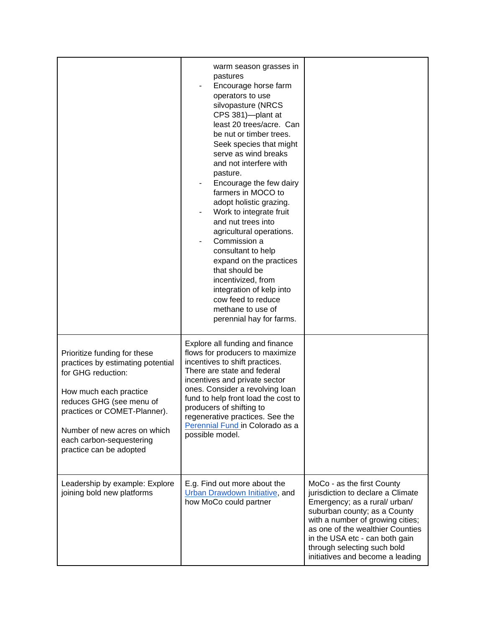|                                                                                                                                                                                                                                                                      | warm season grasses in<br>pastures<br>Encourage horse farm<br>operators to use<br>silvopasture (NRCS<br>CPS 381)-plant at<br>least 20 trees/acre. Can<br>be nut or timber trees.<br>Seek species that might<br>serve as wind breaks<br>and not interfere with<br>pasture.<br>Encourage the few dairy<br>farmers in MOCO to<br>adopt holistic grazing.<br>Work to integrate fruit<br>and nut trees into<br>agricultural operations.<br>Commission a<br>consultant to help<br>expand on the practices<br>that should be<br>incentivized, from<br>integration of kelp into<br>cow feed to reduce<br>methane to use of<br>perennial hay for farms. |                                                                                                                                                                                                                                                                                                               |
|----------------------------------------------------------------------------------------------------------------------------------------------------------------------------------------------------------------------------------------------------------------------|------------------------------------------------------------------------------------------------------------------------------------------------------------------------------------------------------------------------------------------------------------------------------------------------------------------------------------------------------------------------------------------------------------------------------------------------------------------------------------------------------------------------------------------------------------------------------------------------------------------------------------------------|---------------------------------------------------------------------------------------------------------------------------------------------------------------------------------------------------------------------------------------------------------------------------------------------------------------|
| Prioritize funding for these<br>practices by estimating potential<br>for GHG reduction:<br>How much each practice<br>reduces GHG (see menu of<br>practices or COMET-Planner).<br>Number of new acres on which<br>each carbon-sequestering<br>practice can be adopted | Explore all funding and finance<br>flows for producers to maximize<br>incentives to shift practices.<br>There are state and federal<br>incentives and private sector<br>ones. Consider a revolving loan<br>fund to help front load the cost to<br>producers of shifting to<br>regenerative practices. See the<br>Perennial Fund in Colorado as a<br>possible model.                                                                                                                                                                                                                                                                            |                                                                                                                                                                                                                                                                                                               |
| Leadership by example: Explore<br>joining bold new platforms                                                                                                                                                                                                         | E.g. Find out more about the<br><b>Urban Drawdown Initiative, and</b><br>how MoCo could partner                                                                                                                                                                                                                                                                                                                                                                                                                                                                                                                                                | MoCo - as the first County<br>jurisdiction to declare a Climate<br>Emergency; as a rural/ urban/<br>suburban county; as a County<br>with a number of growing cities;<br>as one of the wealthier Counties<br>in the USA etc - can both gain<br>through selecting such bold<br>initiatives and become a leading |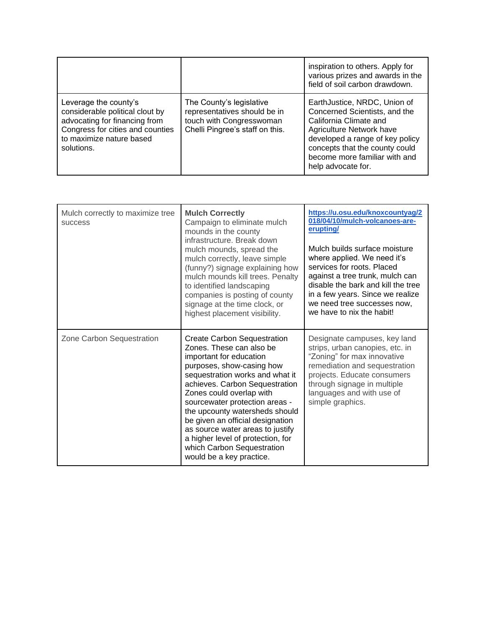|                                                                                                                                                                         |                                                                                                                         | inspiration to others. Apply for<br>various prizes and awards in the<br>field of soil carbon drawdown.                                                                                                                                          |
|-------------------------------------------------------------------------------------------------------------------------------------------------------------------------|-------------------------------------------------------------------------------------------------------------------------|-------------------------------------------------------------------------------------------------------------------------------------------------------------------------------------------------------------------------------------------------|
| Leverage the county's<br>considerable political clout by<br>advocating for financing from<br>Congress for cities and counties<br>to maximize nature based<br>solutions. | The County's legislative<br>representatives should be in<br>touch with Congresswoman<br>Chelli Pingree's staff on this. | EarthJustice, NRDC, Union of<br>Concerned Scientists, and the<br>California Climate and<br>Agriculture Network have<br>developed a range of key policy<br>concepts that the county could<br>become more familiar with and<br>help advocate for. |

| Mulch correctly to maximize tree<br><b>SUCCESS</b> | <b>Mulch Correctly</b><br>Campaign to eliminate mulch<br>mounds in the county<br>infrastructure. Break down<br>mulch mounds, spread the<br>mulch correctly, leave simple<br>(funny?) signage explaining how<br>mulch mounds kill trees. Penalty<br>to identified landscaping<br>companies is posting of county<br>signage at the time clock, or<br>highest placement visibility.                                                                                   | https://u.osu.edu/knoxcountyaq/2<br>018/04/10/mulch-volcanoes-are-<br>erupting/<br>Mulch builds surface moisture<br>where applied. We need it's<br>services for roots. Placed<br>against a tree trunk, mulch can<br>disable the bark and kill the tree<br>in a few years. Since we realize<br>we need tree successes now,<br>we have to nix the habit! |
|----------------------------------------------------|--------------------------------------------------------------------------------------------------------------------------------------------------------------------------------------------------------------------------------------------------------------------------------------------------------------------------------------------------------------------------------------------------------------------------------------------------------------------|--------------------------------------------------------------------------------------------------------------------------------------------------------------------------------------------------------------------------------------------------------------------------------------------------------------------------------------------------------|
| Zone Carbon Sequestration                          | <b>Create Carbon Sequestration</b><br>Zones. These can also be<br>important for education<br>purposes, show-casing how<br>sequestration works and what it<br>achieves. Carbon Sequestration<br>Zones could overlap with<br>sourcewater protection areas -<br>the upcounty watersheds should<br>be given an official designation<br>as source water areas to justify<br>a higher level of protection, for<br>which Carbon Sequestration<br>would be a key practice. | Designate campuses, key land<br>strips, urban canopies, etc. in<br>"Zoning" for max innovative<br>remediation and sequestration<br>projects. Educate consumers<br>through signage in multiple<br>languages and with use of<br>simple graphics.                                                                                                         |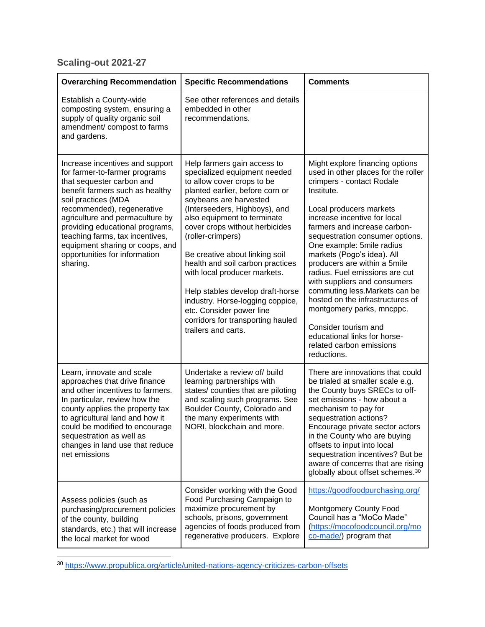# **Scaling-out 2021-27**

| <b>Overarching Recommendation</b>                                                                                                                                                                                                                                                                                                                                              | <b>Specific Recommendations</b>                                                                                                                                                                                                                                                                                                                                                                                                                                                                                                                     | <b>Comments</b>                                                                                                                                                                                                                                                                                                                                                                                                                                                                                                                                                                                                    |
|--------------------------------------------------------------------------------------------------------------------------------------------------------------------------------------------------------------------------------------------------------------------------------------------------------------------------------------------------------------------------------|-----------------------------------------------------------------------------------------------------------------------------------------------------------------------------------------------------------------------------------------------------------------------------------------------------------------------------------------------------------------------------------------------------------------------------------------------------------------------------------------------------------------------------------------------------|--------------------------------------------------------------------------------------------------------------------------------------------------------------------------------------------------------------------------------------------------------------------------------------------------------------------------------------------------------------------------------------------------------------------------------------------------------------------------------------------------------------------------------------------------------------------------------------------------------------------|
| Establish a County-wide<br>composting system, ensuring a<br>supply of quality organic soil<br>amendment/ compost to farms<br>and gardens.                                                                                                                                                                                                                                      | See other references and details<br>embedded in other<br>recommendations.                                                                                                                                                                                                                                                                                                                                                                                                                                                                           |                                                                                                                                                                                                                                                                                                                                                                                                                                                                                                                                                                                                                    |
| Increase incentives and support<br>for farmer-to-farmer programs<br>that sequester carbon and<br>benefit farmers such as healthy<br>soil practices (MDA<br>recommended), regenerative<br>agriculture and permaculture by<br>providing educational programs,<br>teaching farms, tax incentives,<br>equipment sharing or coops, and<br>opportunities for information<br>sharing. | Help farmers gain access to<br>specialized equipment needed<br>to allow cover crops to be<br>planted earlier, before corn or<br>soybeans are harvested<br>(Interseeders, Highboys), and<br>also equipment to terminate<br>cover crops without herbicides<br>(roller-crimpers)<br>Be creative about linking soil<br>health and soil carbon practices<br>with local producer markets.<br>Help stables develop draft-horse<br>industry. Horse-logging coppice,<br>etc. Consider power line<br>corridors for transporting hauled<br>trailers and carts. | Might explore financing options<br>used in other places for the roller<br>crimpers - contact Rodale<br>Institute.<br>Local producers markets<br>increase incentive for local<br>farmers and increase carbon-<br>sequestration consumer options.<br>One example: 5mile radius<br>markets (Pogo's idea). All<br>producers are within a 5mile<br>radius. Fuel emissions are cut<br>with suppliers and consumers<br>commuting less. Markets can be<br>hosted on the infrastructures of<br>montgomery parks, mncppc.<br>Consider tourism and<br>educational links for horse-<br>related carbon emissions<br>reductions. |
| Learn, innovate and scale<br>approaches that drive finance<br>and other incentives to farmers.<br>In particular, review how the<br>county applies the property tax<br>to agricultural land and how it<br>could be modified to encourage<br>sequestration as well as<br>changes in land use that reduce<br>net emissions                                                        | Undertake a review of/ build<br>learning partnerships with<br>states/ counties that are piloting<br>and scaling such programs. See<br>Boulder County, Colorado and<br>the many experiments with<br>NORI, blockchain and more.                                                                                                                                                                                                                                                                                                                       | There are innovations that could<br>be trialed at smaller scale e.g.<br>the County buys SRECs to off-<br>set emissions - how about a<br>mechanism to pay for<br>sequestration actions?<br>Encourage private sector actors<br>in the County who are buying<br>offsets to input into local<br>sequestration incentives? But be<br>aware of concerns that are rising<br>globally about offset schemes. <sup>30</sup>                                                                                                                                                                                                  |
| Assess policies (such as<br>purchasing/procurement policies<br>of the county, building<br>standards, etc.) that will increase<br>the local market for wood                                                                                                                                                                                                                     | Consider working with the Good<br>Food Purchasing Campaign to<br>maximize procurement by<br>schools, prisons, government<br>agencies of foods produced from<br>regenerative producers. Explore                                                                                                                                                                                                                                                                                                                                                      | https://goodfoodpurchasing.org/<br><b>Montgomery County Food</b><br>Council has a "MoCo Made"<br>(https://mocofoodcouncil.org/mo<br>co-made/) program that                                                                                                                                                                                                                                                                                                                                                                                                                                                         |

<sup>30</sup> <https://www.propublica.org/article/united-nations-agency-criticizes-carbon-offsets>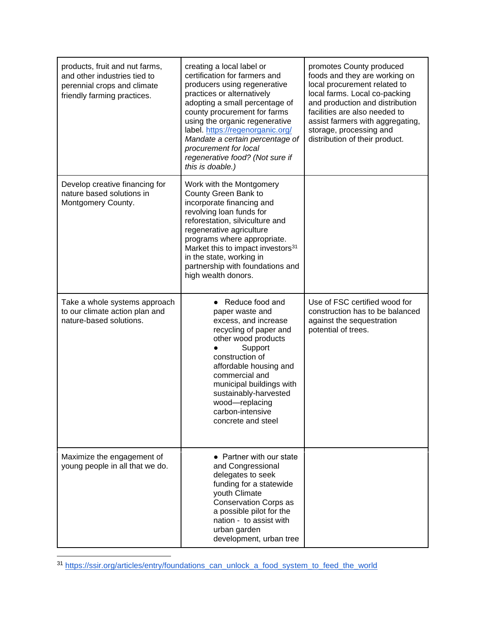| products, fruit and nut farms,<br>and other industries tied to<br>perennial crops and climate<br>friendly farming practices. | creating a local label or<br>certification for farmers and<br>producers using regenerative<br>practices or alternatively<br>adopting a small percentage of<br>county procurement for farms<br>using the organic regenerative<br>label. https://regenorganic.org/<br>Mandate a certain percentage of<br>procurement for local<br>regenerative food? (Not sure if<br>this is doable.) | promotes County produced<br>foods and they are working on<br>local procurement related to<br>local farms. Local co-packing<br>and production and distribution<br>facilities are also needed to<br>assist farmers with aggregating,<br>storage, processing and<br>distribution of their product. |
|------------------------------------------------------------------------------------------------------------------------------|-------------------------------------------------------------------------------------------------------------------------------------------------------------------------------------------------------------------------------------------------------------------------------------------------------------------------------------------------------------------------------------|-------------------------------------------------------------------------------------------------------------------------------------------------------------------------------------------------------------------------------------------------------------------------------------------------|
| Develop creative financing for<br>nature based solutions in<br>Montgomery County.                                            | Work with the Montgomery<br>County Green Bank to<br>incorporate financing and<br>revolving loan funds for<br>reforestation, silviculture and<br>regenerative agriculture<br>programs where appropriate.<br>Market this to impact investors <sup>31</sup><br>in the state, working in<br>partnership with foundations and<br>high wealth donors.                                     |                                                                                                                                                                                                                                                                                                 |
| Take a whole systems approach<br>to our climate action plan and<br>nature-based solutions.                                   | • Reduce food and<br>paper waste and<br>excess, and increase<br>recycling of paper and<br>other wood products<br>Support<br>construction of<br>affordable housing and<br>commercial and<br>municipal buildings with<br>sustainably-harvested<br>wood-replacing<br>carbon-intensive<br>concrete and steel                                                                            | Use of FSC certified wood for<br>construction has to be balanced<br>against the sequestration<br>potential of trees.                                                                                                                                                                            |
| Maximize the engagement of<br>young people in all that we do.                                                                | • Partner with our state<br>and Congressional<br>delegates to seek<br>funding for a statewide<br>youth Climate<br><b>Conservation Corps as</b><br>a possible pilot for the<br>nation - to assist with<br>urban garden<br>development, urban tree                                                                                                                                    |                                                                                                                                                                                                                                                                                                 |

<sup>31</sup> [https://ssir.org/articles/entry/foundations\\_can\\_unlock\\_a\\_food\\_system\\_to\\_feed\\_the\\_world](https://ssir.org/articles/entry/foundations_can_unlock_a_food_system_to_feed_the_world)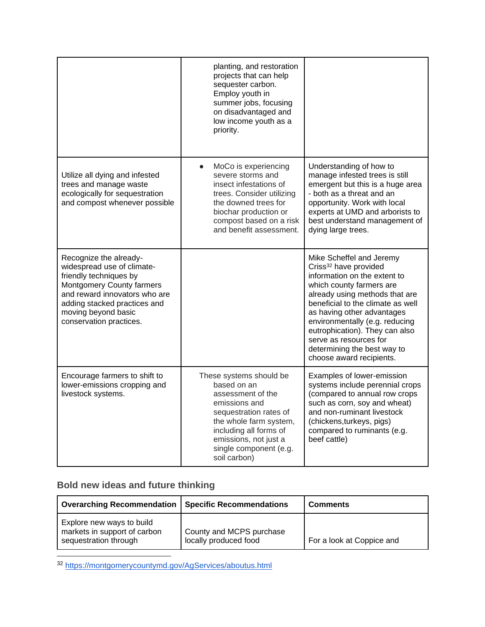|                                                                                                                                                                                                                                       | planting, and restoration<br>projects that can help<br>sequester carbon.<br>Employ youth in<br>summer jobs, focusing<br>on disadvantaged and<br>low income youth as a<br>priority.                                            |                                                                                                                                                                                                                                                                                                                                                                                         |
|---------------------------------------------------------------------------------------------------------------------------------------------------------------------------------------------------------------------------------------|-------------------------------------------------------------------------------------------------------------------------------------------------------------------------------------------------------------------------------|-----------------------------------------------------------------------------------------------------------------------------------------------------------------------------------------------------------------------------------------------------------------------------------------------------------------------------------------------------------------------------------------|
| Utilize all dying and infested<br>trees and manage waste<br>ecologically for sequestration<br>and compost whenever possible                                                                                                           | MoCo is experiencing<br>$\bullet$<br>severe storms and<br>insect infestations of<br>trees. Consider utilizing<br>the downed trees for<br>biochar production or<br>compost based on a risk<br>and benefit assessment.          | Understanding of how to<br>manage infested trees is still<br>emergent but this is a huge area<br>- both as a threat and an<br>opportunity. Work with local<br>experts at UMD and arborists to<br>best understand management of<br>dying large trees.                                                                                                                                    |
| Recognize the already-<br>widespread use of climate-<br>friendly techniques by<br><b>Montgomery County farmers</b><br>and reward innovators who are<br>adding stacked practices and<br>moving beyond basic<br>conservation practices. |                                                                                                                                                                                                                               | Mike Scheffel and Jeremy<br>Criss <sup>32</sup> have provided<br>information on the extent to<br>which county farmers are<br>already using methods that are<br>beneficial to the climate as well<br>as having other advantages<br>environmentally (e.g. reducing<br>eutrophication). They can also<br>serve as resources for<br>determining the best way to<br>choose award recipients. |
| Encourage farmers to shift to<br>lower-emissions cropping and<br>livestock systems.                                                                                                                                                   | These systems should be<br>based on an<br>assessment of the<br>emissions and<br>sequestration rates of<br>the whole farm system,<br>including all forms of<br>emissions, not just a<br>single component (e.g.<br>soil carbon) | Examples of lower-emission<br>systems include perennial crops<br>(compared to annual row crops<br>such as corn, soy and wheat)<br>and non-ruminant livestock<br>(chickens, turkeys, pigs)<br>compared to ruminants (e.g.<br>beef cattle)                                                                                                                                                |

## **Bold new ideas and future thinking**

| <b>Overarching Recommendation</b>                                                  | <b>Specific Recommendations</b>                   | <b>Comments</b>           |
|------------------------------------------------------------------------------------|---------------------------------------------------|---------------------------|
| Explore new ways to build<br>markets in support of carbon<br>sequestration through | County and MCPS purchase<br>locally produced food | For a look at Coppice and |

<sup>32</sup> <https://montgomerycountymd.gov/AgServices/aboutus.html>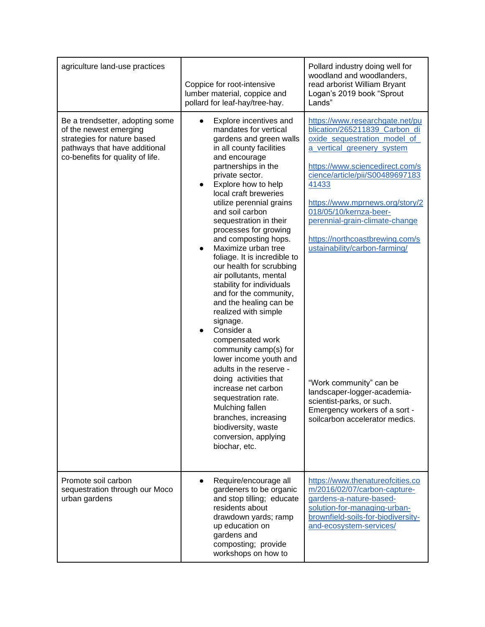| agriculture land-use practices                                                                                                                                | Coppice for root-intensive<br>lumber material, coppice and<br>pollard for leaf-hay/tree-hay.                                                                                                                                                                                                                                                                                                                                                                                                                                                                                                                                                                                                                                                                                                                                                                                    | Pollard industry doing well for<br>woodland and woodlanders,<br>read arborist William Bryant<br>Logan's 2019 book "Sprout<br>Lands"                                                                                                                                                                                                                                                                                                                                                                                                         |
|---------------------------------------------------------------------------------------------------------------------------------------------------------------|---------------------------------------------------------------------------------------------------------------------------------------------------------------------------------------------------------------------------------------------------------------------------------------------------------------------------------------------------------------------------------------------------------------------------------------------------------------------------------------------------------------------------------------------------------------------------------------------------------------------------------------------------------------------------------------------------------------------------------------------------------------------------------------------------------------------------------------------------------------------------------|---------------------------------------------------------------------------------------------------------------------------------------------------------------------------------------------------------------------------------------------------------------------------------------------------------------------------------------------------------------------------------------------------------------------------------------------------------------------------------------------------------------------------------------------|
| Be a trendsetter, adopting some<br>of the newest emerging<br>strategies for nature based<br>pathways that have additional<br>co-benefits for quality of life. | Explore incentives and<br>mandates for vertical<br>gardens and green walls<br>in all county facilities<br>and encourage<br>partnerships in the<br>private sector.<br>Explore how to help<br>local craft breweries<br>utilize perennial grains<br>and soil carbon<br>sequestration in their<br>processes for growing<br>and composting hops.<br>Maximize urban tree<br>foliage. It is incredible to<br>our health for scrubbing<br>air pollutants, mental<br>stability for individuals<br>and for the community,<br>and the healing can be<br>realized with simple<br>signage.<br>Consider a<br>compensated work<br>community camp(s) for<br>lower income youth and<br>adults in the reserve -<br>doing activities that<br>increase net carbon<br>sequestration rate.<br>Mulching fallen<br>branches, increasing<br>biodiversity, waste<br>conversion, applying<br>biochar, etc. | https://www.researchgate.net/pu<br>blication/265211839_Carbon_di<br>oxide_sequestration_model_of_<br>a vertical greenery system<br>https://www.sciencedirect.com/s<br>cience/article/pii/S00489697183<br>41433<br>https://www.mprnews.org/story/2<br>018/05/10/kernza-beer-<br>perennial-grain-climate-change<br>https://northcoastbrewing.com/s<br>ustainability/carbon-farming/<br>"Work community" can be<br>landscaper-logger-academia-<br>scientist-parks, or such.<br>Emergency workers of a sort -<br>soilcarbon accelerator medics. |
| Promote soil carbon<br>sequestration through our Moco<br>urban gardens                                                                                        | Require/encourage all<br>$\bullet$<br>gardeners to be organic<br>and stop tilling; educate<br>residents about<br>drawdown yards; ramp<br>up education on<br>gardens and<br>composting; provide<br>workshops on how to                                                                                                                                                                                                                                                                                                                                                                                                                                                                                                                                                                                                                                                           | https://www.thenatureofcities.co<br>m/2016/02/07/carbon-capture-<br>gardens-a-nature-based-<br>solution-for-managing-urban-<br>brownfield-soils-for-biodiversity-<br>and-ecosystem-services/                                                                                                                                                                                                                                                                                                                                                |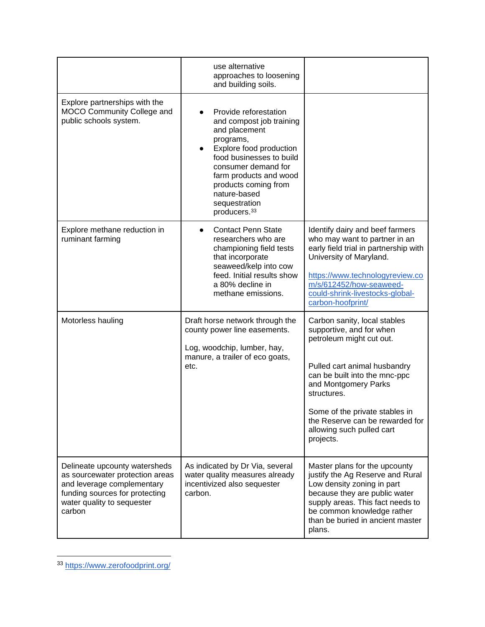|                                                                                                                                                                          | use alternative<br>approaches to loosening<br>and building soils.                                                                                                                                                                                                            |                                                                                                                                                                                                                                                                                                             |
|--------------------------------------------------------------------------------------------------------------------------------------------------------------------------|------------------------------------------------------------------------------------------------------------------------------------------------------------------------------------------------------------------------------------------------------------------------------|-------------------------------------------------------------------------------------------------------------------------------------------------------------------------------------------------------------------------------------------------------------------------------------------------------------|
| Explore partnerships with the<br>MOCO Community College and<br>public schools system.                                                                                    | Provide reforestation<br>and compost job training<br>and placement<br>programs,<br>Explore food production<br>food businesses to build<br>consumer demand for<br>farm products and wood<br>products coming from<br>nature-based<br>sequestration<br>producers. <sup>33</sup> |                                                                                                                                                                                                                                                                                                             |
| Explore methane reduction in<br>ruminant farming                                                                                                                         | <b>Contact Penn State</b><br>researchers who are<br>championing field tests<br>that incorporate<br>seaweed/kelp into cow<br>feed. Initial results show<br>a 80% decline in<br>methane emissions.                                                                             | Identify dairy and beef farmers<br>who may want to partner in an<br>early field trial in partnership with<br>University of Maryland.<br>https://www.technologyreview.co<br>m/s/612452/how-seaweed-<br>could-shrink-livestocks-global-<br>carbon-hoofprint/                                                  |
| Motorless hauling                                                                                                                                                        | Draft horse network through the<br>county power line easements.<br>Log, woodchip, lumber, hay,<br>manure, a trailer of eco goats,<br>etc.                                                                                                                                    | Carbon sanity, local stables<br>supportive, and for when<br>petroleum might cut out.<br>Pulled cart animal husbandry<br>can be built into the mnc-ppc<br>and Montgomery Parks<br>structures.<br>Some of the private stables in<br>the Reserve can be rewarded for<br>allowing such pulled cart<br>projects. |
| Delineate upcounty watersheds<br>as sourcewater protection areas<br>and leverage complementary<br>funding sources for protecting<br>water quality to sequester<br>carbon | As indicated by Dr Via, several<br>water quality measures already<br>incentivized also sequester<br>carbon.                                                                                                                                                                  | Master plans for the upcounty<br>justify the Ag Reserve and Rural<br>Low density zoning in part<br>because they are public water<br>supply areas. This fact needs to<br>be common knowledge rather<br>than be buried in ancient master<br>plans.                                                            |

<sup>33</sup> <https://www.zerofoodprint.org/>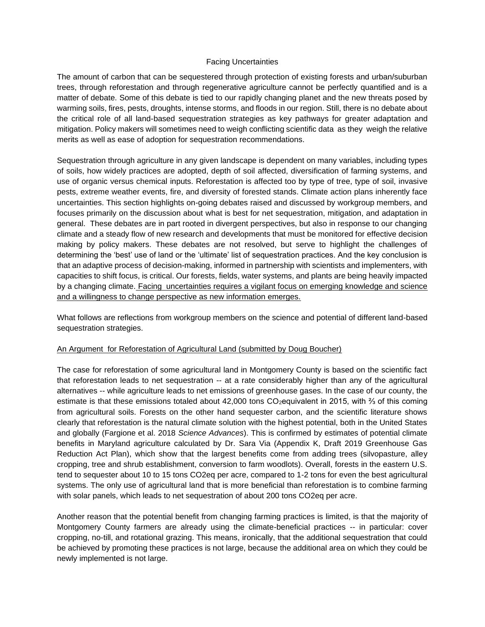#### Facing Uncertainties

The amount of carbon that can be sequestered through protection of existing forests and urban/suburban trees, through reforestation and through regenerative agriculture cannot be perfectly quantified and is a matter of debate. Some of this debate is tied to our rapidly changing planet and the new threats posed by warming soils, fires, pests, droughts, intense storms, and floods in our region. Still, there is no debate about the critical role of all land-based sequestration strategies as key pathways for greater adaptation and mitigation. Policy makers will sometimes need to weigh conflicting scientific data as they weigh the relative merits as well as ease of adoption for sequestration recommendations.

Sequestration through agriculture in any given landscape is dependent on many variables, including types of soils, how widely practices are adopted, depth of soil affected, diversification of farming systems, and use of organic versus chemical inputs. Reforestation is affected too by type of tree, type of soil, invasive pests, extreme weather events, fire, and diversity of forested stands. Climate action plans inherently face uncertainties. This section highlights on-going debates raised and discussed by workgroup members, and focuses primarily on the discussion about what is best for net sequestration, mitigation, and adaptation in general. These debates are in part rooted in divergent perspectives, but also in response to our changing climate and a steady flow of new research and developments that must be monitored for effective decision making by policy makers. These debates are not resolved, but serve to highlight the challenges of determining the 'best' use of land or the 'ultimate' list of sequestration practices. And the key conclusion is that an adaptive process of decision-making, informed in partnership with scientists and implementers, with capacities to shift focus, is critical. Our forests, fields, water systems, and plants are being heavily impacted by a changing climate. Facing uncertainties requires a vigilant focus on emerging knowledge and science and a willingness to change perspective as new information emerges.

What follows are reflections from workgroup members on the science and potential of different land-based sequestration strategies.

#### An Argument for Reforestation of Agricultural Land (submitted by Doug Boucher)

The case for reforestation of some agricultural land in Montgomery County is based on the scientific fact that reforestation leads to net sequestration -- at a rate considerably higher than any of the agricultural alternatives -- while agriculture leads to net emissions of greenhouse gases. In the case of our county, the estimate is that these emissions totaled about 42,000 tons CO<sub>2</sub>equivalent in 2015, with <sup>3</sup>/<sub>3</sub> of this coming from agricultural soils. Forests on the other hand sequester carbon, and the scientific literature shows clearly that reforestation is the natural climate solution with the highest potential, both in the United States and globally (Fargione et al. 2018 *Science Advances*). This is confirmed by estimates of potential climate benefits in Maryland agriculture calculated by Dr. Sara Via (Appendix K, Draft 2019 Greenhouse Gas Reduction Act Plan), which show that the largest benefits come from adding trees (silvopasture, alley cropping, tree and shrub establishment, conversion to farm woodlots). Overall, forests in the eastern U.S. tend to sequester about 10 to 15 tons CO2eq per acre, compared to 1-2 tons for even the best agricultural systems. The only use of agricultural land that is more beneficial than reforestation is to combine farming with solar panels, which leads to net sequestration of about 200 tons CO2eq per acre.

Another reason that the potential benefit from changing farming practices is limited, is that the majority of Montgomery County farmers are already using the climate-beneficial practices -- in particular: cover cropping, no-till, and rotational grazing. This means, ironically, that the additional sequestration that could be achieved by promoting these practices is not large, because the additional area on which they could be newly implemented is not large.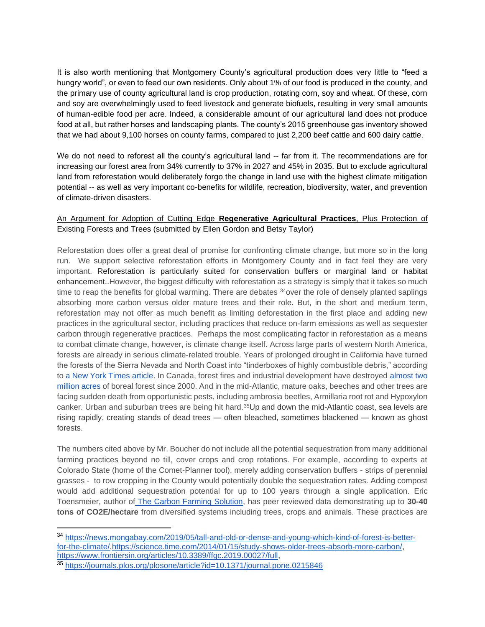It is also worth mentioning that Montgomery County's agricultural production does very little to "feed a hungry world", or even to feed our own residents. Only about 1% of our food is produced in the county, and the primary use of county agricultural land is crop production, rotating corn, soy and wheat. Of these, corn and soy are overwhelmingly used to feed livestock and generate biofuels, resulting in very small amounts of human-edible food per acre. Indeed, a considerable amount of our agricultural land does not produce food at all, but rather horses and landscaping plants. The county's 2015 greenhouse gas inventory showed that we had about 9,100 horses on county farms, compared to just 2,200 beef cattle and 600 dairy cattle.

We do not need to reforest all the county's agricultural land -- far from it. The recommendations are for increasing our forest area from 34% currently to 37% in 2027 and 45% in 2035. But to exclude agricultural land from reforestation would deliberately forgo the change in land use with the highest climate mitigation potential -- as well as very important co-benefits for wildlife, recreation, biodiversity, water, and prevention of climate-driven disasters.

### An Argument for Adoption of Cutting Edge **Regenerative Agricultural Practices**, Plus Protection of Existing Forests and Trees (submitted by Ellen Gordon and Betsy Taylor)

Reforestation does offer a great deal of promise for confronting climate change, but more so in the long run. We support selective reforestation efforts in Montgomery County and in fact feel they are very important. Reforestation is particularly suited for conservation buffers or marginal land or habitat enhancement..However, the biggest difficulty with reforestation as a strategy is simply that it takes so much time to reap the benefits for global warming. There are debates <sup>34</sup>over the role of densely planted saplings absorbing more carbon versus older mature trees and their role. But, in the short and medium term, reforestation may not offer as much benefit as limiting deforestation in the first place and adding new practices in the agricultural sector, including practices that reduce on-farm emissions as well as sequester carbon through regenerative practices. Perhaps the most complicating factor in reforestation as a means to combat climate change, however, is climate change itself. Across large parts of western North America, forests are already in serious climate-related trouble. Years of prolonged drought in California have turned the forests of the Sierra Nevada and North Coast into "tinderboxes of highly combustible debris," according to [a New York Times article.](http://www.nytimes.com/2016/08/30/science/california-dead-trees-forest-fires.html?smid=tw-share) In Canada, forest fires and industrial development have destroyed [almost two](https://thinkprogress.org/canada-tops-the-world-in-forest-degradation-thanks-to-climate-change-logging-and-energy-development-7071693ef655#.ysugi7ymt)  [million acres](https://thinkprogress.org/canada-tops-the-world-in-forest-degradation-thanks-to-climate-change-logging-and-energy-development-7071693ef655#.ysugi7ymt) of boreal forest since 2000. And in the mid-Atlantic, mature oaks, beeches and other trees are facing sudden death from opportunistic pests, including ambrosia beetles, Armillaria root rot and Hypoxylon canker. Urban and suburban trees are being hit hard.<sup>35</sup>Up and down the mid-Atlantic coast, sea levels are rising rapidly, creating stands of dead trees — often bleached, sometimes blackened — known as ghost forests.

The numbers cited above by Mr. Boucher do not include all the potential sequestration from many additional farming practices beyond no till, cover crops and crop rotations. For example, according to experts at Colorado State (home of the Comet-Planner tool), merely adding conservation buffers - strips of perennial grasses - to row cropping in the County would potentially double the sequestration rates. Adding compost would add additional sequestration potential for up to 100 years through a single application. Eric Toensmeier, author of [The Carbon Farming Solution,](http://carbonfarmingsolution.com/) has peer reviewed data demonstrating up to **30-40 tons of CO2E/hectare** from diversified systems including trees, crops and animals. These practices are

<sup>34</sup> [https://news.mongabay.com/2019/05/tall-and-old-or-dense-and-young-which-kind-of-forest-is-better](https://news.mongabay.com/2019/05/tall-and-old-or-dense-and-young-which-kind-of-forest-is-better-for-the-climate/)[for-the-climate/](https://news.mongabay.com/2019/05/tall-and-old-or-dense-and-young-which-kind-of-forest-is-better-for-the-climate/)[,https://science.time.com/2014/01/15/study-shows-older-trees-absorb-more-carbon/,](https://science.time.com/2014/01/15/study-shows-older-trees-absorb-more-carbon/) [https://www.frontiersin.org/articles/10.3389/ffgc.2019.00027/full,](https://www.frontiersin.org/articles/10.3389/ffgc.2019.00027/full)

<sup>35</sup> <https://journals.plos.org/plosone/article?id=10.1371/journal.pone.0215846>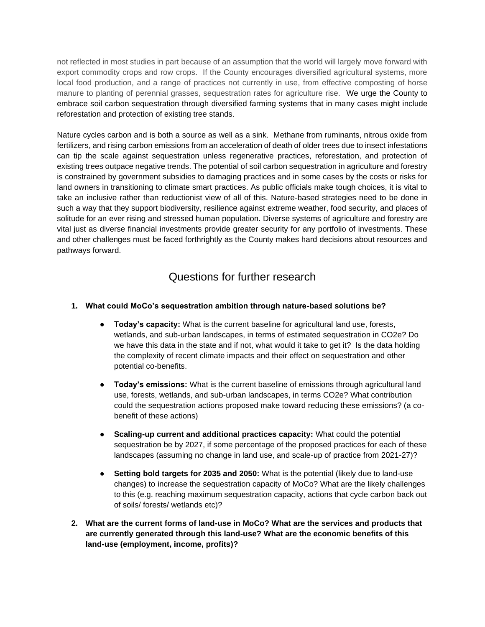not reflected in most studies in part because of an assumption that the world will largely move forward with export commodity crops and row crops. If the County encourages diversified agricultural systems, more local food production, and a range of practices not currently in use, from effective composting of horse manure to planting of perennial grasses, sequestration rates for agriculture rise. We urge the County to embrace soil carbon sequestration through diversified farming systems that in many cases might include reforestation and protection of existing tree stands.

Nature cycles carbon and is both a source as well as a sink. Methane from ruminants, nitrous oxide from fertilizers, and rising carbon emissions from an acceleration of death of older trees due to insect infestations can tip the scale against sequestration unless regenerative practices, reforestation, and protection of existing trees outpace negative trends. The potential of soil carbon sequestration in agriculture and forestry is constrained by government subsidies to damaging practices and in some cases by the costs or risks for land owners in transitioning to climate smart practices. As public officials make tough choices, it is vital to take an inclusive rather than reductionist view of all of this. Nature-based strategies need to be done in such a way that they support biodiversity, resilience against extreme weather, food security, and places of solitude for an ever rising and stressed human population. Diverse systems of agriculture and forestry are vital just as diverse financial investments provide greater security for any portfolio of investments. These and other challenges must be faced forthrightly as the County makes hard decisions about resources and pathways forward.

## Questions for further research

### **1. What could MoCo's sequestration ambition through nature-based solutions be?**

- **Today's capacity:** What is the current baseline for agricultural land use, forests, wetlands, and sub-urban landscapes, in terms of estimated sequestration in CO2e? Do we have this data in the state and if not, what would it take to get it? Is the data holding the complexity of recent climate impacts and their effect on sequestration and other potential co-benefits.
- **Today's emissions:** What is the current baseline of emissions through agricultural land use, forests, wetlands, and sub-urban landscapes, in terms CO2e? What contribution could the sequestration actions proposed make toward reducing these emissions? (a cobenefit of these actions)
- **Scaling-up current and additional practices capacity:** What could the potential sequestration be by 2027, if some percentage of the proposed practices for each of these landscapes (assuming no change in land use, and scale-up of practice from 2021-27)?
- **Setting bold targets for 2035 and 2050:** What is the potential (likely due to land-use changes) to increase the sequestration capacity of MoCo? What are the likely challenges to this (e.g. reaching maximum sequestration capacity, actions that cycle carbon back out of soils/ forests/ wetlands etc)?
- **2. What are the current forms of land-use in MoCo? What are the services and products that are currently generated through this land-use? What are the economic benefits of this land-use (employment, income, profits)?**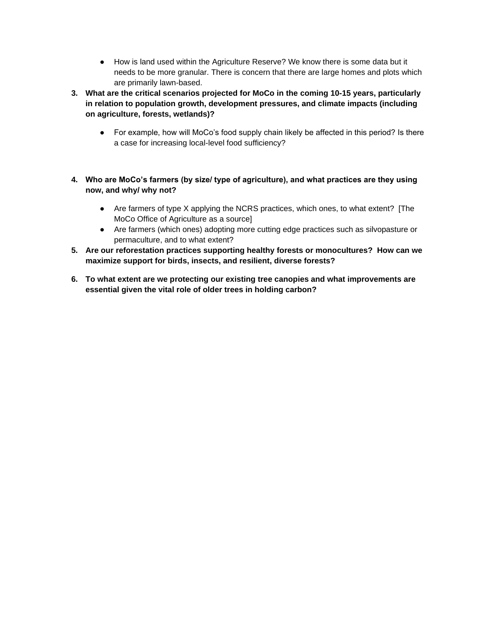- How is land used within the Agriculture Reserve? We know there is some data but it needs to be more granular. There is concern that there are large homes and plots which are primarily lawn-based.
- **3. What are the critical scenarios projected for MoCo in the coming 10-15 years, particularly in relation to population growth, development pressures, and climate impacts (including on agriculture, forests, wetlands)?**
	- For example, how will MoCo's food supply chain likely be affected in this period? Is there a case for increasing local-level food sufficiency?
- **4. Who are MoCo's farmers (by size/ type of agriculture), and what practices are they using now, and why/ why not?**
	- Are farmers of type X applying the NCRS practices, which ones, to what extent? [The MoCo Office of Agriculture as a source]
	- Are farmers (which ones) adopting more cutting edge practices such as silvopasture or permaculture, and to what extent?
- **5. Are our reforestation practices supporting healthy forests or monocultures? How can we maximize support for birds, insects, and resilient, diverse forests?**
- **6. To what extent are we protecting our existing tree canopies and what improvements are essential given the vital role of older trees in holding carbon?**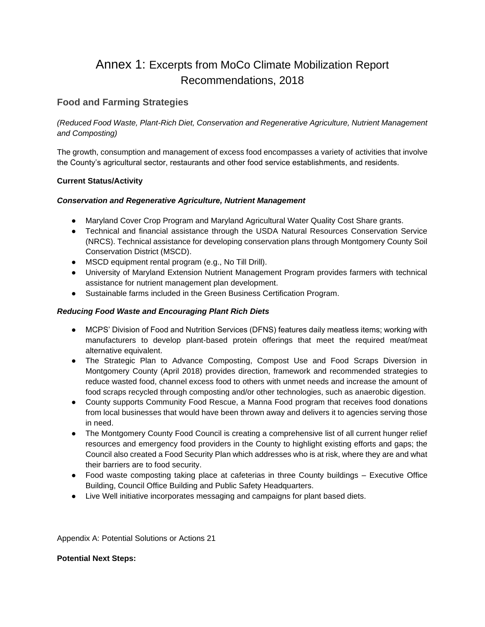# Annex 1: Excerpts from MoCo Climate Mobilization Report Recommendations, 2018

### **Food and Farming Strategies**

*(Reduced Food Waste, Plant-Rich Diet, Conservation and Regenerative Agriculture, Nutrient Management and Composting)* 

The growth, consumption and management of excess food encompasses a variety of activities that involve the County's agricultural sector, restaurants and other food service establishments, and residents.

#### **Current Status/Activity**

#### *Conservation and Regenerative Agriculture, Nutrient Management*

- Maryland Cover Crop Program and Maryland Agricultural Water Quality Cost Share grants.
- Technical and financial assistance through the USDA Natural Resources Conservation Service (NRCS). Technical assistance for developing conservation plans through Montgomery County Soil Conservation District (MSCD).
- MSCD equipment rental program (e.g., No Till Drill).
- University of Maryland Extension Nutrient Management Program provides farmers with technical assistance for nutrient management plan development.
- Sustainable farms included in the Green Business Certification Program.

#### *Reducing Food Waste and Encouraging Plant Rich Diets*

- MCPS' Division of Food and Nutrition Services (DFNS) features daily meatless items; working with manufacturers to develop plant-based protein offerings that meet the required meat/meat alternative equivalent.
- The Strategic Plan to Advance Composting, Compost Use and Food Scraps Diversion in Montgomery County (April 2018) provides direction, framework and recommended strategies to reduce wasted food, channel excess food to others with unmet needs and increase the amount of food scraps recycled through composting and/or other technologies, such as anaerobic digestion.
- County supports Community Food Rescue, a Manna Food program that receives food donations from local businesses that would have been thrown away and delivers it to agencies serving those in need.
- The Montgomery County Food Council is creating a comprehensive list of all current hunger relief resources and emergency food providers in the County to highlight existing efforts and gaps; the Council also created a Food Security Plan which addresses who is at risk, where they are and what their barriers are to food security.
- Food waste composting taking place at cafeterias in three County buildings Executive Office Building, Council Office Building and Public Safety Headquarters.
- Live Well initiative incorporates messaging and campaigns for plant based diets.

Appendix A: Potential Solutions or Actions 21

#### **Potential Next Steps:**